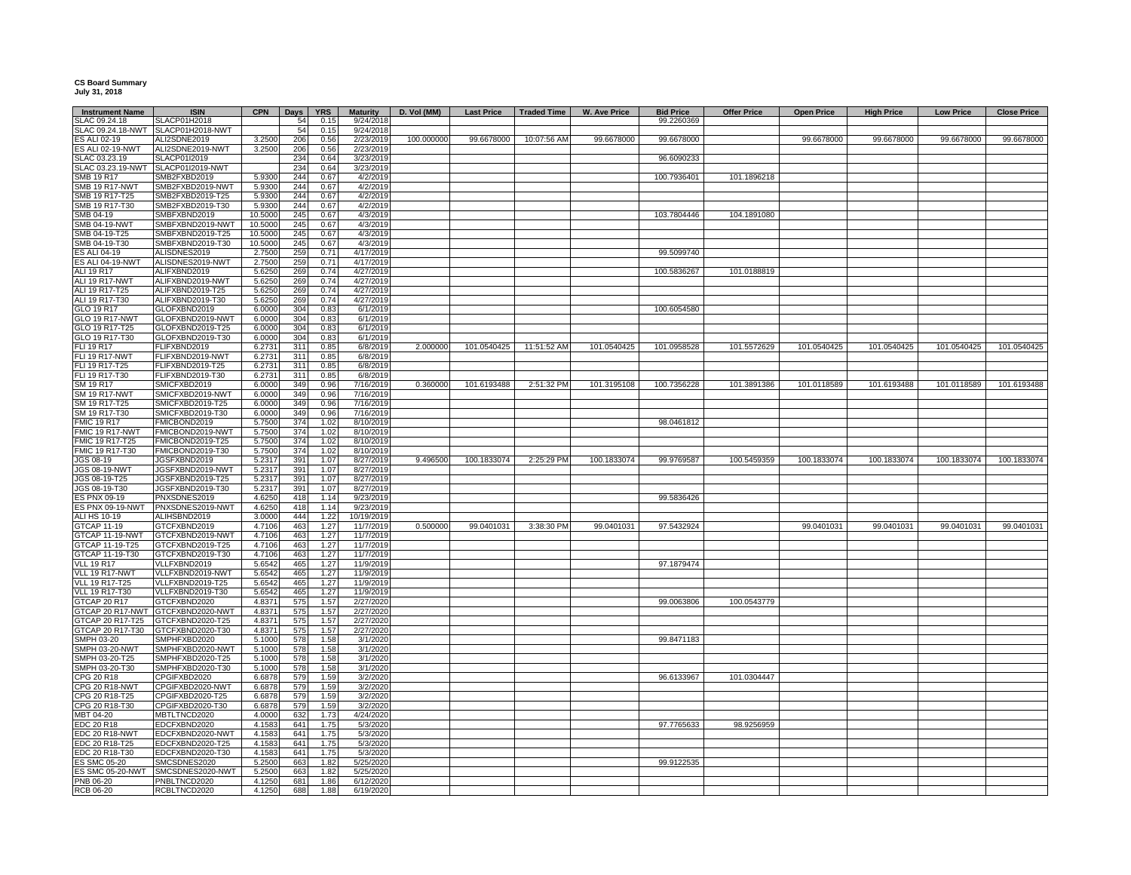## **CS Board Summary July 31, 2018**

| <b>Instrument Name</b>                  | <b>ISIN</b>                          | <b>CPN</b>       | Days            | <b>YRS</b>   | <b>Maturity</b>        | D. Vol (MM) | Last Price   Traded Time |             | <b>W. Ave Price</b> | <b>Bid Price</b> | <b>Offer Price</b> | <b>Open Price</b> | <b>High Price</b> | <b>Low Price</b> | <b>Close Price</b> |
|-----------------------------------------|--------------------------------------|------------------|-----------------|--------------|------------------------|-------------|--------------------------|-------------|---------------------|------------------|--------------------|-------------------|-------------------|------------------|--------------------|
| SLAC 09.24.18                           | SLACP01H2018                         |                  | 54              | 0.15         | 9/24/2018              |             |                          |             |                     | 99.2260369       |                    |                   |                   |                  |                    |
|                                         | SLAC 09.24.18-NWT SLACP01H2018-NWT   |                  | 54              | 0.15         | 9/24/2018              |             |                          |             |                     |                  |                    |                   |                   |                  |                    |
| ES ALI 02-19                            | ALI2SDNE2019                         | 3.2500           | 206             | 0.56         | 2/23/2019              | 100.000000  | 99.6678000               | 10:07:56 AM | 99.6678000          | 99.6678000       |                    | 99.6678000        | 99.6678000        | 99.6678000       | 99.6678000         |
| <b>ES ALI 02-19-NWT</b>                 | ALI2SDNE2019-NWT                     | 3.2500           | 20 <sub>6</sub> | 0.56         | 2/23/2019              |             |                          |             |                     |                  |                    |                   |                   |                  |                    |
| SLAC 03.23.19<br>SLAC 03.23.19-NWT      | SLACP01I2019<br>SLACP01I2019-NWT     |                  | 234<br>234      | 0.64<br>0.64 | 3/23/2019<br>3/23/2019 |             |                          |             |                     | 96.6090233       |                    |                   |                   |                  |                    |
| SMB 19 R17                              | SMB2FXBD2019                         | 5.9300           | 244             | 0.67         | 4/2/2019               |             |                          |             |                     | 100.7936401      | 101.1896218        |                   |                   |                  |                    |
| MB 19 R17-NWT                           | SMB2FXBD2019-NWT                     | 5.9300           | 244             | 0.67         | 4/2/2019               |             |                          |             |                     |                  |                    |                   |                   |                  |                    |
| MB 19 R17-T25                           | SMB2FXBD2019-T25                     | 5.9300           | 244             | 0.67         | 4/2/2019               |             |                          |             |                     |                  |                    |                   |                   |                  |                    |
| SMB 19 R17-T30                          | SMB2FXBD2019-T30                     | 5.9300           | 244             | 0.67         | 4/2/2019               |             |                          |             |                     |                  |                    |                   |                   |                  |                    |
| SMB 04-19                               | SMBFXBND2019                         | 10.5000          | 245             | 0.67         | 4/3/2019               |             |                          |             |                     | 103.7804446      | 104.1891080        |                   |                   |                  |                    |
| MB 04-19-NWT                            | SMBFXBND2019-NWT                     | 10.5000          | 245             | 0.67         | 4/3/2019               |             |                          |             |                     |                  |                    |                   |                   |                  |                    |
| SMB 04-19-T25                           | SMBFXBND2019-T25                     | 10.5000          | 245             | 0.67         | 4/3/2019               |             |                          |             |                     |                  |                    |                   |                   |                  |                    |
| SMB 04-19-T30                           | SMBFXBND2019-T30                     | 10,5000          | 245             | 0.67         | 4/3/2019               |             |                          |             |                     |                  |                    |                   |                   |                  |                    |
| ES ALI 04-19                            | ALISDNES2019                         | 2.7500           | 259             | 0.71         | 4/17/2019              |             |                          |             |                     | 99.5099740       |                    |                   |                   |                  |                    |
| ES ALI 04-19-NWT                        | ALISDNES2019-NWT                     | 2.7500           | 259             | 0.71         | 4/17/2019              |             |                          |             |                     |                  |                    |                   |                   |                  |                    |
| ALI 19 R17                              | ALIFXBND2019                         | 5.6250           | 269             | 0.74         | 4/27/2019              |             |                          |             |                     | 100.5836267      | 101.0188819        |                   |                   |                  |                    |
| ALI 19 R17-NWT                          | ALIFXBND2019-NWT                     | 5.6250           | 269             | 0.74         | 4/27/2019              |             |                          |             |                     |                  |                    |                   |                   |                  |                    |
| ALI 19 R17-T25                          | ALIFXBND2019-T25                     | 5.6250           | 269             | 0.74         | 4/27/2019              |             |                          |             |                     |                  |                    |                   |                   |                  |                    |
| ALI 19 R17-T30<br>GLO 19 R17            | ALIFXBND2019-T30<br>GLOFXBND2019     | 5.6250           | 269<br>304      | 0.74<br>0.83 | 4/27/2019              |             |                          |             |                     | 100.6054580      |                    |                   |                   |                  |                    |
| GLO 19 R17-NWT                          | GLOFXBND2019-NWT                     | 6.0000<br>6.0000 | 304             | 0.83         | 6/1/2019<br>6/1/2019   |             |                          |             |                     |                  |                    |                   |                   |                  |                    |
| GLO 19 R17-T25                          | GLOFXBND2019-T25                     | 6.0000           | 304             | 0.83         | 6/1/2019               |             |                          |             |                     |                  |                    |                   |                   |                  |                    |
| GLO 19 R17-T30                          | GLOFXBND2019-T30                     | 6.0000           | 304             | 0.83         | 6/1/2019               |             |                          |             |                     |                  |                    |                   |                   |                  |                    |
| FLI 19 R17                              | FLIFXBND2019                         | 6.2731           | 311             | 0.85         | 6/8/2019               | 2.000000    | 101.0540425              | 11:51:52 AM | 101.0540425         | 101.0958528      | 101.5572629        | 101.0540425       | 101.0540425       | 101.0540425      | 101.0540425        |
| <b>FLI 19 R17-NWT</b>                   | FLIFXBND2019-NWT                     | 6.2731           | 311             | 0.85         | 6/8/2019               |             |                          |             |                     |                  |                    |                   |                   |                  |                    |
| FLI 19 R17-T25                          | FLIFXBND2019-T25                     | 6.2731           | 311             | 0.85         | 6/8/2019               |             |                          |             |                     |                  |                    |                   |                   |                  |                    |
| FLI 19 R17-T30                          | FLIFXBND2019-T30                     | 6.2731           | 311             | 0.85         | 6/8/2019               |             |                          |             |                     |                  |                    |                   |                   |                  |                    |
| SM 19 R17                               | SMICFXBD2019                         | 6.0000           | 349             | 0.96         | 7/16/2019              | 0.360000    | 101.6193488              | 2:51:32 PM  | 101.3195108         | 100.7356228      | 101.3891386        | 101.0118589       | 101.6193488       | 101.0118589      | 101.6193488        |
| <b>SM 19 R17-NWT</b>                    | SMICFXBD2019-NWT                     | 6.0000           | 349             | 0.96         | 7/16/2019              |             |                          |             |                     |                  |                    |                   |                   |                  |                    |
| SM 19 R17-T25                           | SMICFXBD2019-T25                     | 6.0000           | 349             | 0.96         | 7/16/2019              |             |                          |             |                     |                  |                    |                   |                   |                  |                    |
| SM 19 R17-T30                           | SMICFXBD2019-T30                     | 6.0000           | 349             | 0.96         | 7/16/2019              |             |                          |             |                     |                  |                    |                   |                   |                  |                    |
| <b>FMIC 19 R17</b>                      | FMICBOND2019                         | 5.7500           | 374             | 1.02         | 8/10/2019              |             |                          |             |                     | 98.0461812       |                    |                   |                   |                  |                    |
| FMIC 19 R17-NWT<br>FMIC 19 R17-T25      | FMICBOND2019-NWT                     | 5.7500           | 374<br>374      | 1.02<br>1.02 | 8/10/2019<br>8/10/2019 |             |                          |             |                     |                  |                    |                   |                   |                  |                    |
| FMIC 19 R17-T30                         | FMICBOND2019-T25<br>FMICBOND2019-T30 | 5.7500<br>5.7500 | 374             | 1.02         | 8/10/2019              |             |                          |             |                     |                  |                    |                   |                   |                  |                    |
| JGS 08-19                               | JGSFXBND2019                         | 5.2317           | 391             | 1.07         | 8/27/2019              | 9.496500    | 100.1833074              | 2:25:29 PM  | 100.1833074         | 99.9769587       | 100.5459359        | 100.1833074       | 100.1833074       | 100.1833074      | 100.1833074        |
| JGS 08-19-NWT                           | JGSFXBND2019-NWT                     | 5.2317           | 391             | 1.07         | 8/27/2019              |             |                          |             |                     |                  |                    |                   |                   |                  |                    |
| JGS 08-19-T25                           | JGSFXBND2019-T25                     | 5.2317           | 391             | 1.07         | 8/27/2019              |             |                          |             |                     |                  |                    |                   |                   |                  |                    |
| JGS 08-19-T30                           | JGSFXBND2019-T30                     | 5.2317           | 391             | 1.07         | 8/27/2019              |             |                          |             |                     |                  |                    |                   |                   |                  |                    |
| ES PNX 09-19                            | PNXSDNES2019                         | 4.6250           | 418             | 1.14         | 9/23/2019              |             |                          |             |                     | 99.5836426       |                    |                   |                   |                  |                    |
| ES PNX 09-19-NWT                        | PNXSDNES2019-NWT                     | 4.6250           | 418             | 1.14         | 9/23/2019              |             |                          |             |                     |                  |                    |                   |                   |                  |                    |
| ALI HS 10-19                            | ALIHSBND2019                         | 3.0000           | 444             | 1.22         | 10/19/2019             |             |                          |             |                     |                  |                    |                   |                   |                  |                    |
| <b>GTCAP 11-19</b>                      | GTCFXBND2019                         | 4.7106           | 463             | 1.27         | 11/7/2019              | 0.500000    | 99.0401031               | 3:38:30 PM  | 99.0401031          | 97.5432924       |                    | 99.0401031        | 99.0401031        | 99.0401031       | 99.0401031         |
| GTCAP 11-19-NWT                         | GTCFXBND2019-NWT                     | 4.7106           | 463             | 1.27         | 11/7/2019              |             |                          |             |                     |                  |                    |                   |                   |                  |                    |
| TCAP 11-19-T25                          | GTCFXBND2019-T25                     | 4.7106           | 463             | 1.27         | 11/7/2019              |             |                          |             |                     |                  |                    |                   |                   |                  |                    |
| <b>STCAP 11-19-T30</b>                  | GTCFXBND2019-T30                     | 4.7106           | 463             | 1.27         | 11/7/2019              |             |                          |             |                     |                  |                    |                   |                   |                  |                    |
| <b>VLL 19 R17</b>                       | VLLFXBND2019                         | 5.6542           | 465             | 1.27         | 11/9/2019              |             |                          |             |                     | 97.1879474       |                    |                   |                   |                  |                    |
| VLL 19 R17-NWT                          | VLLFXBND2019-NWT                     | 5.6542           | 465             | 1.27         | 11/9/2019              |             |                          |             |                     |                  |                    |                   |                   |                  |                    |
| <b>VLL 19 R17-T25</b><br>VLL 19 R17-T30 | VLLFXBND2019-T25<br>VLLFXBND2019-T30 | 5.6542<br>5.6542 | 465<br>465      | 1.27<br>1.27 | 11/9/2019<br>11/9/2019 |             |                          |             |                     |                  |                    |                   |                   |                  |                    |
| GTCAP 20 R17                            | GTCFXBND2020                         | 4.8371           | 575             | 1.57         | 2/27/2020              |             |                          |             |                     | 99.0063806       | 100.0543779        |                   |                   |                  |                    |
| GTCAP 20 R17-NWT                        | GTCFXBND2020-NWT                     | 4.8371           | 575             | 1.57         | 2/27/2020              |             |                          |             |                     |                  |                    |                   |                   |                  |                    |
| GTCAP 20 R17-T25                        | GTCFXBND2020-T25                     | 4.8371           | 575             | 1.57         | 2/27/2020              |             |                          |             |                     |                  |                    |                   |                   |                  |                    |
| GTCAP 20 R17-T30                        | GTCFXBND2020-T30                     | 4.8371           | 575             | 1.57         | 2/27/2020              |             |                          |             |                     |                  |                    |                   |                   |                  |                    |
| SMPH 03-20                              | SMPHFXBD2020                         | 5.1000           | 578             | 1.58         | 3/1/2020               |             |                          |             |                     | 99.8471183       |                    |                   |                   |                  |                    |
| SMPH 03-20-NWT                          | SMPHFXBD2020-NWT                     | 5.1000           | 578             | 1.58         | 3/1/2020               |             |                          |             |                     |                  |                    |                   |                   |                  |                    |
| SMPH 03-20-T25                          | SMPHFXBD2020-T25                     | 5.1000           | 578             | 1.58         | 3/1/2020               |             |                          |             |                     |                  |                    |                   |                   |                  |                    |
| SMPH 03-20-T30                          | SMPHFXBD2020-T30                     | 5.1000           | 578             | 1.58         | 3/1/2020               |             |                          |             |                     |                  |                    |                   |                   |                  |                    |
| CPG 20 R18                              | CPGIFXBD2020                         | 6.6878           | 579             | 1.59         | 3/2/2020               |             |                          |             |                     | 96.6133967       | 101.0304447        |                   |                   |                  |                    |
| CPG 20 R18-NWT                          | CPGIFXBD2020-NWT                     | 6.6878           | 579             | 1.59         | 3/2/2020               |             |                          |             |                     |                  |                    |                   |                   |                  |                    |
| CPG 20 R18-T25                          | CPGIFXBD2020-T25                     | 6.6878           | 579             | 1.59         | 3/2/202                |             |                          |             |                     |                  |                    |                   |                   |                  |                    |
| CPG 20 R18-T30                          | CPGIFXBD2020-T30                     | 6.6878           | 579             | 1.59         | 3/2/2020               |             |                          |             |                     |                  |                    |                   |                   |                  |                    |
| MBT 04-20<br>EDC 20 R18                 | MBTLTNCD2020<br>EDCFXBND2020         | 4.0000<br>4.1583 | 632             | 1.73<br>1.75 | 4/24/2020<br>5/3/2020  |             |                          |             |                     | 97.7765633       | 98.9256959         |                   |                   |                  |                    |
| EDC 20 R18-NWT                          | EDCFXBND2020-NWT                     | 4.1583           | 641<br>641      | 1.75         | 5/3/2020               |             |                          |             |                     |                  |                    |                   |                   |                  |                    |
| EDC 20 R18-T25                          | EDCFXBND2020-T25                     | 4.1583           | 641             | 1.75         | 5/3/2020               |             |                          |             |                     |                  |                    |                   |                   |                  |                    |
| EDC 20 R18-T30                          | EDCFXBND2020-T30                     | 4.1583           | 641             | 1.75         | 5/3/2020               |             |                          |             |                     |                  |                    |                   |                   |                  |                    |
| <b>ES SMC 05-20</b>                     | SMCSDNES2020                         | 5.2500           | 663             | 1.82         | 5/25/2020              |             |                          |             |                     | 99.9122535       |                    |                   |                   |                  |                    |
|                                         | ES SMC 05-20-NWT SMCSDNES2020-NWT    | 5.2500           | 663             | 1.82         | 5/25/2020              |             |                          |             |                     |                  |                    |                   |                   |                  |                    |
| PNB 06-20                               | PNBLTNCD2020                         | 4.1250           | 681             | 1.86         | 6/12/2020              |             |                          |             |                     |                  |                    |                   |                   |                  |                    |
| <b>RCB 06-20</b>                        | RCBLTNCD2020                         | 4.1250           | 688             | 1.88         | 6/19/2020              |             |                          |             |                     |                  |                    |                   |                   |                  |                    |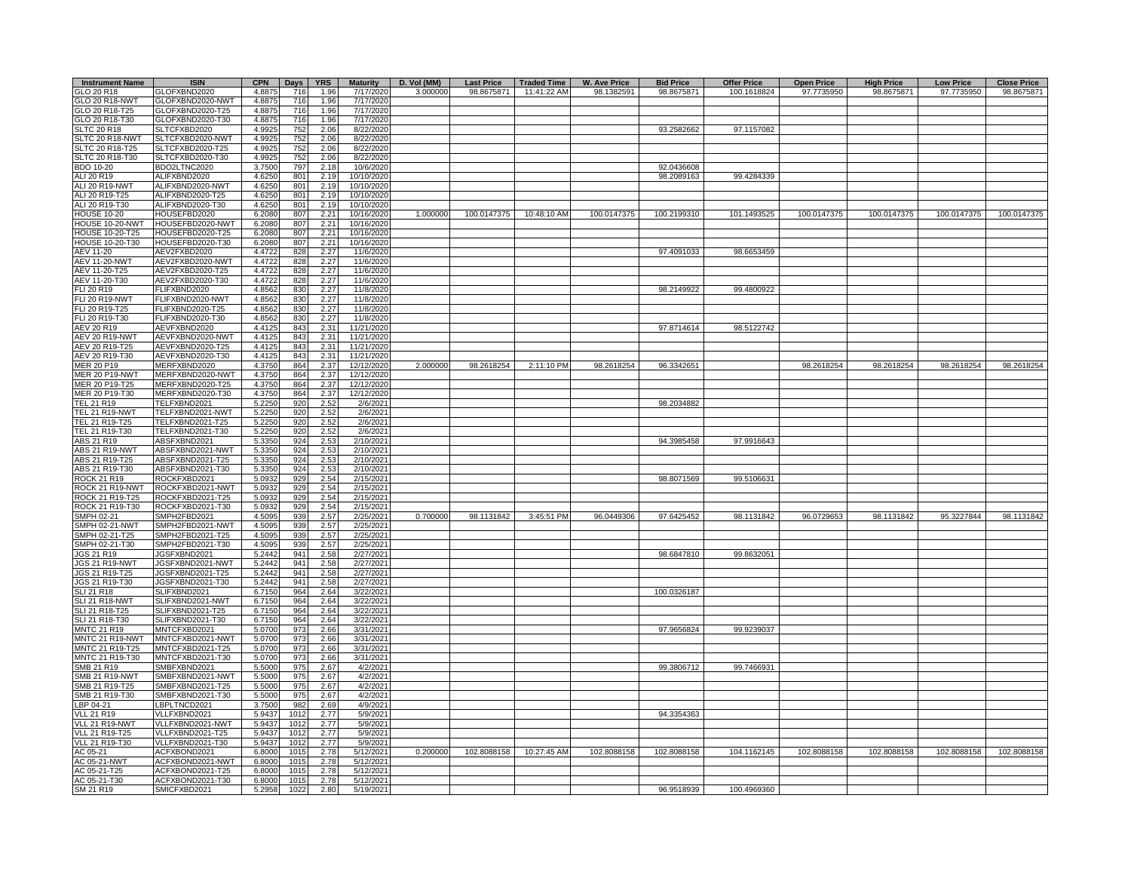| <b>Instrument Name</b>                  | <b>ISIN</b>                          | <b>CPN</b>       | <b>Days</b> | <b>YRS</b>   | <b>Maturity</b>        | D. Vol (MM) | <b>Last Price</b> | <b>Traded Time</b> | <b>W. Ave Price</b> | <b>Bid Price</b> | <b>Offer Price</b> | <b>Open Price</b> | <b>High Price</b> | <b>Low Price</b> | <b>Close Price</b> |
|-----------------------------------------|--------------------------------------|------------------|-------------|--------------|------------------------|-------------|-------------------|--------------------|---------------------|------------------|--------------------|-------------------|-------------------|------------------|--------------------|
| GLO 20 R18                              | GLOFXBND2020                         | 4.8875           | 716         | 1.96         | 7/17/2020              | 3.000000    | 98.8675871        | 11:41:22 AM        | 98.1382591          | 98.8675871       | 100.1618824        | 97.7735950        | 98.8675871        | 97.7735950       | 98.8675871         |
| GLO 20 R18-NWT                          | GLOFXBND2020-NWT                     | 4.8875           | 716         | 1.96         | 7/17/2020              |             |                   |                    |                     |                  |                    |                   |                   |                  |                    |
| GLO 20 R18-T25                          | GLOFXBND2020-T25                     | 4.8875           | 716         | 1.96         | 7/17/2020              |             |                   |                    |                     |                  |                    |                   |                   |                  |                    |
| GLO 20 R18-T30                          | GLOFXBND2020-T30                     | 4.8875           | 716         | 1.96         | 7/17/2020              |             |                   |                    |                     |                  |                    |                   |                   |                  |                    |
| <b>SLTC 20 R18</b>                      | SLTCFXBD2020                         | 4.9925           | 752         | 2.06         | 8/22/2020              |             |                   |                    |                     | 93.2582662       | 97.1157082         |                   |                   |                  |                    |
| SLTC 20 R18-NWT                         | SLTCFXBD2020-NWT<br>SLTCFXBD2020-T25 | 4.9925<br>4.9925 | 752<br>752  | 2.06         | 8/22/2020              |             |                   |                    |                     |                  |                    |                   |                   |                  |                    |
| SLTC 20 R18-T25<br>SLTC 20 R18-T30      | SLTCFXBD2020-T30                     | 4.9925           | 752         | 2.06<br>2.06 | 8/22/2020<br>8/22/2020 |             |                   |                    |                     |                  |                    |                   |                   |                  |                    |
| <b>BDO 10-20</b>                        | BDO2LTNC2020                         | 3.7500           | 797         | 2.18         | 10/6/2020              |             |                   |                    |                     | 92.0436608       |                    |                   |                   |                  |                    |
| ALI 20 R19                              | ALIFXBND2020                         | 4.6250           | 801         | 2.19         | 10/10/2020             |             |                   |                    |                     | 98.2089163       | 99.4284339         |                   |                   |                  |                    |
| ALI 20 R19-NWT                          | ALIFXBND2020-NWT                     | 4.6250           | 801         | 2.19         | 10/10/2020             |             |                   |                    |                     |                  |                    |                   |                   |                  |                    |
| ALI 20 R19-T25                          | ALIFXBND2020-T25                     | 4.6250           | 801         | 2.19         | 10/10/2020             |             |                   |                    |                     |                  |                    |                   |                   |                  |                    |
| ALI 20 R19-T30                          | ALIFXBND2020-T30                     | 4.6250           | 801         | 2.19         | 10/10/2020             |             |                   |                    |                     |                  |                    |                   |                   |                  |                    |
| <b>HOUSE 10-20</b>                      | HOUSEFBD2020                         | 6.2080           | 807         | 2.21         | 10/16/2020             | 1.000000    | 100.0147375       | 10:48:10 AM        | 100.0147375         | 100.2199310      | 101.1493525        | 100.0147375       | 100.0147375       | 100.0147375      | 100.0147375        |
| HOUSE 10-20-NWT                         | HOUSEFBD2020-NWT                     | 6.2080           | 807         | 2.21         | 10/16/2020             |             |                   |                    |                     |                  |                    |                   |                   |                  |                    |
| <b>HOUSE 10-20-T25</b>                  | HOUSEFBD2020-T25                     | 6.2080           | 807         | 2.21         | 10/16/2020             |             |                   |                    |                     |                  |                    |                   |                   |                  |                    |
| HOUSE 10-20-T30                         | HOUSEFBD2020-T30                     | 6.2080           | 807         | 2.21         | 10/16/2020             |             |                   |                    |                     |                  |                    |                   |                   |                  |                    |
| AEV 11-20                               | AEV2FXBD2020                         | 4.4722           | 828         | 2.27         | 11/6/2020              |             |                   |                    |                     | 97.4091033       | 98.6653459         |                   |                   |                  |                    |
| <b>AEV 11-20-NWT</b>                    | AEV2FXBD2020-NWT                     | 4.4722           | 828         | 2.27         | 11/6/2020              |             |                   |                    |                     |                  |                    |                   |                   |                  |                    |
| AEV 11-20-T25                           | AEV2FXBD2020-T25                     | 4.4722           | 828         | 2.27         | 11/6/2020              |             |                   |                    |                     |                  |                    |                   |                   |                  |                    |
| AEV 11-20-T30<br>FLI 20 R19             | AEV2FXBD2020-T30<br>FLIFXBND2020     | 4.4722<br>4.8562 | 828<br>830  | 2.27<br>2.27 | 11/6/2020<br>11/8/202  |             |                   |                    |                     | 98.2149922       | 99.4800922         |                   |                   |                  |                    |
| <b>FLI 20 R19-NWT</b>                   | FLIFXBND2020-NWT                     | 4.8562           | 830         | 2.27         | 11/8/2020              |             |                   |                    |                     |                  |                    |                   |                   |                  |                    |
| FLI 20 R19-T25                          | FLIFXBND2020-T25                     | 4.8562           | 830         | 2.27         | 11/8/2020              |             |                   |                    |                     |                  |                    |                   |                   |                  |                    |
| FLI 20 R19-T30                          | FLIFXBND2020-T30                     | 4.8562           | 830         | 2.27         | 11/8/2020              |             |                   |                    |                     |                  |                    |                   |                   |                  |                    |
| AEV 20 R19                              | AEVFXBND2020                         | 4.4125           | 843         | 2.31         | 11/21/2020             |             |                   |                    |                     | 97.8714614       | 98.5122742         |                   |                   |                  |                    |
| AEV 20 R19-NWT                          | AEVFXBND2020-NWT                     | 4.4125           | 843         | 2.31         | 11/21/2020             |             |                   |                    |                     |                  |                    |                   |                   |                  |                    |
| AEV 20 R19-T25                          | AEVFXBND2020-T25                     | 4.4125           | 843         | 2.31         | 11/21/2020             |             |                   |                    |                     |                  |                    |                   |                   |                  |                    |
| AEV 20 R19-T30                          | AEVFXBND2020-T30                     | 4.4125           | 843         | 2.31         | 11/21/2020             |             |                   |                    |                     |                  |                    |                   |                   |                  |                    |
| MER 20 P19                              | MERFXBND2020                         | 4.3750           | 864         | 2.37         | 12/12/2020             | 2.000000    | 98.2618254        | 2:11:10 PM         | 98.2618254          | 96.3342651       |                    | 98.2618254        | 98.2618254        | 98.2618254       | 98.2618254         |
| <b>MER 20 P19-NWT</b>                   | MERFXBND2020-NWT                     | 4.3750           | 864         | 2.37         | 12/12/2020             |             |                   |                    |                     |                  |                    |                   |                   |                  |                    |
| MER 20 P19-T25                          | MERFXBND2020-T25                     | 4.3750           | 864         | 2.37         | 12/12/2020             |             |                   |                    |                     |                  |                    |                   |                   |                  |                    |
| MER 20 P19-T30                          | MERFXBND2020-T30                     | 4.3750           | 864         | 2.37         | 12/12/2020             |             |                   |                    |                     |                  |                    |                   |                   |                  |                    |
| <b>TEL 21 R19</b>                       | TELFXBND2021                         | 5.2250           | 920         | 2.52         | 2/6/2021               |             |                   |                    |                     | 98.2034882       |                    |                   |                   |                  |                    |
| <b>TEL 21 R19-NWT</b>                   | TELFXBND2021-NWT                     | 5.2250           | 920         | 2.52         | 2/6/2021               |             |                   |                    |                     |                  |                    |                   |                   |                  |                    |
| TEL 21 R19-T25                          | TELFXBND2021-T25                     | 5.2250           | 920         | 2.52         | 2/6/2021               |             |                   |                    |                     |                  |                    |                   |                   |                  |                    |
| TEL 21 R19-T30<br>ABS 21 R19            | TELFXBND2021-T30<br>ABSFXBND2021     | 5.2250<br>5.3350 | 920<br>924  | 2.52<br>2.53 | 2/6/2021<br>2/10/2021  |             |                   |                    |                     | 94.3985458       | 97.9916643         |                   |                   |                  |                    |
| ABS 21 R19-NWT                          | ABSFXBND2021-NWT                     | 5.3350           | 924         | 2.53         | 2/10/2021              |             |                   |                    |                     |                  |                    |                   |                   |                  |                    |
| ABS 21 R19-T25                          | ABSFXBND2021-T25                     | 5.3350           | 924         | 2.53         | 2/10/2021              |             |                   |                    |                     |                  |                    |                   |                   |                  |                    |
| ABS 21 R19-T30                          | ABSFXBND2021-T30                     | 5.3350           | 924         | 2.53         | 2/10/2021              |             |                   |                    |                     |                  |                    |                   |                   |                  |                    |
| <b>ROCK 21 R19</b>                      | ROCKFXBD2021                         | 5.0932           | 929         | 2.54         | 2/15/2021              |             |                   |                    |                     | 98.8071569       | 99.5106631         |                   |                   |                  |                    |
| ROCK 21 R19-NWT                         | ROCKFXBD2021-NWT                     | 5.0932           | 929         | 2.54         | 2/15/2021              |             |                   |                    |                     |                  |                    |                   |                   |                  |                    |
| ROCK 21 R19-T25                         | ROCKFXBD2021-T25                     | 5.0932           | 929         | 2.54         | 2/15/2021              |             |                   |                    |                     |                  |                    |                   |                   |                  |                    |
| ROCK 21 R19-T30                         | ROCKFXBD2021-T30                     | 5.0932           | 929         | 2.54         | 2/15/2021              |             |                   |                    |                     |                  |                    |                   |                   |                  |                    |
| <b>SMPH 02-21</b>                       | SMPH2FBD2021                         | 4.5095           | 939         | 2.57         | 2/25/202               | 0.700000    | 98.1131842        | 3:45:51 PM         | 96.0449306          | 97.6425452       | 98.1131842         | 96.0729653        | 98.1131842        | 95.3227844       | 98.1131842         |
| SMPH 02-21-NWT                          | SMPH2FBD2021-NWT                     | 4.5095           | 939         | 2.57         | 2/25/2021              |             |                   |                    |                     |                  |                    |                   |                   |                  |                    |
| SMPH 02-21-T25                          | SMPH2FBD2021-T25                     | 4.5095           | 939         | 2.57         | 2/25/2021              |             |                   |                    |                     |                  |                    |                   |                   |                  |                    |
| SMPH 02-21-T30                          | SMPH2FBD2021-T30                     | 4.5095           | 939         | 2.57<br>2.58 | 2/25/2021              |             |                   |                    |                     |                  |                    |                   |                   |                  |                    |
| JGS 21 R19<br><b>JGS 21 R19-NWT</b>     | JGSFXBND2021<br>JGSFXBND2021-NWT     | 5.2442<br>5.2442 | 941<br>941  |              | 2/27/2021              |             |                   |                    |                     | 98.6847810       | 99.8632051         |                   |                   |                  |                    |
| JGS 21 R19-T25                          | JGSFXBND2021-T25                     | 5.2442           | 941         | 2.58<br>2.58 | 2/27/2021<br>2/27/2021 |             |                   |                    |                     |                  |                    |                   |                   |                  |                    |
| JGS 21 R19-T30                          | JGSFXBND2021-T30                     | 5.2442           | 941         | 2.58         | 2/27/2021              |             |                   |                    |                     |                  |                    |                   |                   |                  |                    |
| <b>SLI 21 R18</b>                       | SLIFXBND2021                         | 6.7150           | 964         | 2.64         | 3/22/2021              |             |                   |                    |                     | 100.0326187      |                    |                   |                   |                  |                    |
| SLI 21 R18-NWT                          | SLIFXBND2021-NWT                     | 6.7150           | 964         | 2.64         | 3/22/2021              |             |                   |                    |                     |                  |                    |                   |                   |                  |                    |
| SLI 21 R18-T25                          | SLIFXBND2021-T25                     | 6.7150           | 964         | 2.64         | 3/22/2021              |             |                   |                    |                     |                  |                    |                   |                   |                  |                    |
| SLI 21 R18-T30                          | SLIFXBND2021-T30                     | 6.7150           | 964         | 2.64         | 3/22/2021              |             |                   |                    |                     |                  |                    |                   |                   |                  |                    |
| <b>MNTC 21 R19</b>                      | MNTCFXBD2021                         | 5.0700           | 973         | 2.66         | 3/31/2021              |             |                   |                    |                     | 97.9656824       | 99.9239037         |                   |                   |                  |                    |
| MNTC 21 R19-NWT                         | MNTCFXBD2021-NWT                     | 5.0700           | 973         | 2.66         | 3/31/2021              |             |                   |                    |                     |                  |                    |                   |                   |                  |                    |
| MNTC 21 R19-T25                         | MNTCFXBD2021-T25                     | 5.0700           | 973         | 2.66         | 3/31/2021              |             |                   |                    |                     |                  |                    |                   |                   |                  |                    |
| MNTC 21 R19-T30                         | MNTCFXBD2021-T30                     | 5.0700           | 973         | 2.66         | 3/31/2021              |             |                   |                    |                     |                  |                    |                   |                   |                  |                    |
| SMB 21 R19                              | SMBFXBND2021                         | 5.5000           | 975         | 2.67         | 4/2/2021               |             |                   |                    |                     | 99.3806712       | 99.7466931         |                   |                   |                  |                    |
| <b>SMB 21 R19-NWT</b><br>SMB 21 R19-T25 | SMBFXBND2021-NWT<br>SMBFXBND2021-T25 | 5.5000<br>5.5000 | 975<br>975  | 2.67         | 4/2/2021               |             |                   |                    |                     |                  |                    |                   |                   |                  |                    |
| SMB 21 R19-T30                          | SMBFXBND2021-T30                     | 5.5000           | 975         | 2.67<br>2.67 | 4/2/2021<br>4/2/2021   |             |                   |                    |                     |                  |                    |                   |                   |                  |                    |
| LBP 04-21                               | LBPLTNCD2021                         | 3.7500           | 982         | 2.69         | 4/9/2021               |             |                   |                    |                     |                  |                    |                   |                   |                  |                    |
| <b>VLL 21 R19</b>                       | VLLFXBND2021                         | 5.9437           | 1012        | 2.77         | 5/9/2021               |             |                   |                    |                     | 94.3354363       |                    |                   |                   |                  |                    |
| VLL 21 R19-NWT                          | VLLFXBND2021-NWT                     | 5.9437           | 101         | 2.77         | 5/9/202                |             |                   |                    |                     |                  |                    |                   |                   |                  |                    |
| <b>VLL 21 R19-T25</b>                   | VLLFXBND2021-T25                     | 5.9437           | 101         | 2.77         | 5/9/202                |             |                   |                    |                     |                  |                    |                   |                   |                  |                    |
| VLL 21 R19-T30                          | VLLFXBND2021-T30                     | 5.9437           | 101:        | 2.77         | 5/9/2021               |             |                   |                    |                     |                  |                    |                   |                   |                  |                    |
| AC 05-21                                | ACFXBOND2021                         | 6.8000           | 101         | 2.78         | 5/12/2021              | 0.200000    | 102.8088158       | 10:27:45 AM        | 102.8088158         | 102.8088158      | 104.1162145        | 102.8088158       | 102.8088158       | 102.8088158      | 102.8088158        |
| AC 05-21-NWT                            | ACFXBOND2021-NWT                     | 6.8000           | 101         | 2.78         | 5/12/2021              |             |                   |                    |                     |                  |                    |                   |                   |                  |                    |
| AC 05-21-T25                            | ACFXBOND2021-T25                     | 6.8000           | 101         | 2.78         | 5/12/2021              |             |                   |                    |                     |                  |                    |                   |                   |                  |                    |
| AC 05-21-T30                            | ACFXBOND2021-T30                     | 6.8000           | 1015        | 2.78         | 5/12/2021              |             |                   |                    |                     |                  |                    |                   |                   |                  |                    |
| SM 21 R19                               | SMICFXBD2021                         | 5.2958           | 1022        | 2.80         | 5/19/2021              |             |                   |                    |                     | 96.9518939       | 100.4969360        |                   |                   |                  |                    |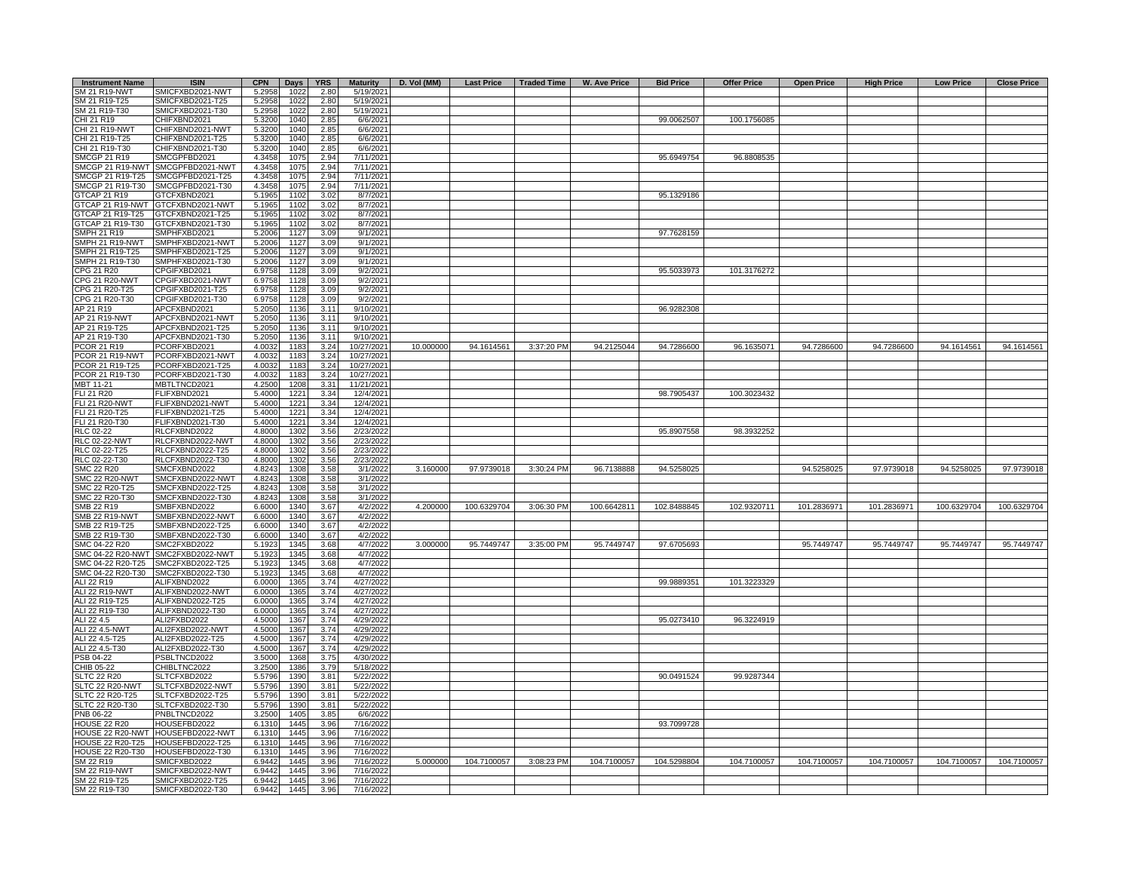| <b>Instrument Name</b>                      | <b>ISIN</b>                             | <b>CPN</b>       | <b>Days</b>  | <b>YRS</b>   | <b>Maturity</b>          | D. Vol (MM) | <b>Last Price</b> | Traded Time | W. Ave Price | <b>Bid Price</b> | <b>Offer Price</b> | <b>Open Price</b> | <b>High Price</b> | <b>Low Price</b> | <b>Close Price</b> |
|---------------------------------------------|-----------------------------------------|------------------|--------------|--------------|--------------------------|-------------|-------------------|-------------|--------------|------------------|--------------------|-------------------|-------------------|------------------|--------------------|
| SM 21 R19-NWT                               | SMICFXBD2021-NWT                        | 5.2958           | 1022         | 2.80         | 5/19/2021                |             |                   |             |              |                  |                    |                   |                   |                  |                    |
| SM 21 R19-T25                               | SMICFXBD2021-T25                        | 5.2958           | 1022         | 2.80         | 5/19/2021                |             |                   |             |              |                  |                    |                   |                   |                  |                    |
| SM 21 R19-T30<br>CHI 21 R19                 | SMICFXBD2021-T30<br>CHIFXBND2021        | 5.2958<br>5.3200 | 1022<br>1040 | 2.80<br>2.85 | 5/19/2021<br>6/6/2021    |             |                   |             |              | 99.0062507       | 100.1756085        |                   |                   |                  |                    |
| CHI 21 R19-NWT                              | CHIFXBND2021-NWT                        | 5.3200           | 1040         | 2.85         | 6/6/2021                 |             |                   |             |              |                  |                    |                   |                   |                  |                    |
| CHI 21 R19-T25                              | CHIFXBND2021-T25                        | 5.3200           | 1040         | 2.85         | 6/6/2021                 |             |                   |             |              |                  |                    |                   |                   |                  |                    |
| CHI 21 R19-T30                              | CHIFXBND2021-T30                        | 5.3200           | 1040         | 2.85         | 6/6/2021                 |             |                   |             |              |                  |                    |                   |                   |                  |                    |
| <b>SMCGP 21 R19</b>                         | SMCGPFBD2021                            | 4.3458           | 1075         | 2.94         | 7/11/2021                |             |                   |             |              | 95.6949754       | 96.8808535         |                   |                   |                  |                    |
| SMCGP 21 R19-NWT                            | SMCGPFBD2021-NWT                        | 4.3458           | 1075         | 2.94         | 7/11/2021                |             |                   |             |              |                  |                    |                   |                   |                  |                    |
| SMCGP 21 R19-T25                            | SMCGPFBD2021-T25                        | 4.3458           | 1075         | 2.94         | 7/11/2021                |             |                   |             |              |                  |                    |                   |                   |                  |                    |
| SMCGP 21 R19-T30                            | SMCGPFBD2021-T30                        | 4.3458           | 1075         | 2.94         | 7/11/2021                |             |                   |             |              |                  |                    |                   |                   |                  |                    |
| GTCAP 21 R19<br>GTCAP 21 R19-NWT            | GTCFXBND2021<br>GTCFXBND2021-NWT        | 5.1965<br>5.1965 | 1102<br>1102 | 3.02<br>3.02 | 8/7/2021<br>8/7/2021     |             |                   |             |              | 95.1329186       |                    |                   |                   |                  |                    |
| GTCAP 21 R19-T25                            | GTCFXBND2021-T25                        | 5.1965           | 1102         | 3.02         | 8/7/2021                 |             |                   |             |              |                  |                    |                   |                   |                  |                    |
| GTCAP 21 R19-T30                            | GTCFXBND2021-T30                        | 5.1965           | 1102         | 3.02         | 8/7/2021                 |             |                   |             |              |                  |                    |                   |                   |                  |                    |
| SMPH 21 R19                                 | SMPHFXBD2021                            | 5.2006           | 1127         | 3.09         | 9/1/2021                 |             |                   |             |              | 97.7628159       |                    |                   |                   |                  |                    |
| SMPH 21 R19-NWT                             | SMPHFXBD2021-NWT                        | 5.2006           | 1127         | 3.09         | 9/1/2021                 |             |                   |             |              |                  |                    |                   |                   |                  |                    |
| SMPH 21 R19-T25                             | SMPHFXBD2021-T25                        | 5.2006           | 112          | 3.09         | 9/1/2021                 |             |                   |             |              |                  |                    |                   |                   |                  |                    |
| SMPH 21 R19-T30                             | SMPHFXBD2021-T30                        | 5.2006           | 112          | 3.09         | 9/1/202                  |             |                   |             |              |                  |                    |                   |                   |                  |                    |
| CPG 21 R20                                  | CPGIFXBD2021                            | 6.9758           | 1128         | 3.09         | 9/2/2021                 |             |                   |             |              | 95.5033973       | 101.3176272        |                   |                   |                  |                    |
| <b>CPG 21 R20-NWT</b><br>CPG 21 R20-T25     | CPGIFXBD2021-NWT<br>CPGIFXBD2021-T25    | 6.9758           | 1128         | 3.09         | 9/2/202                  |             |                   |             |              |                  |                    |                   |                   |                  |                    |
| CPG 21 R20-T30                              | CPGIFXBD2021-T30                        | 6.9758<br>6.9758 | 1128<br>1128 | 3.09<br>3.09 | 9/2/2021<br>9/2/2021     |             |                   |             |              |                  |                    |                   |                   |                  |                    |
| AP 21 R19                                   | APCFXBND2021                            | 5.2050           | 1136         | 3.11         | 9/10/2021                |             |                   |             |              | 96.9282308       |                    |                   |                   |                  |                    |
| AP 21 R19-NWT                               | APCFXBND2021-NWT                        | 5.2050           | 1136         | 3.11         | 9/10/2021                |             |                   |             |              |                  |                    |                   |                   |                  |                    |
| AP 21 R19-T25                               | APCFXBND2021-T25                        | 5.2050           | 1136         | 3.11         | 9/10/2021                |             |                   |             |              |                  |                    |                   |                   |                  |                    |
| AP 21 R19-T30                               | APCFXBND2021-T30                        | 5.2050           | 1136         | 3.11         | 9/10/2021                |             |                   |             |              |                  |                    |                   |                   |                  |                    |
| <b>PCOR 21 R19</b>                          | PCORFXBD2021                            | 4.0032           | 1183         | 3.24         | 10/27/2021               | 10.000000   | 94.1614561        | 3:37:20 PM  | 94.2125044   | 94.7286600       | 96.1635071         | 94.7286600        | 94.7286600        | 94.1614561       | 94.1614561         |
| PCOR 21 R19-NWT                             | PCORFXBD2021-NWT                        | 4.0032           | 1183         | 3.24         | 10/27/2021               |             |                   |             |              |                  |                    |                   |                   |                  |                    |
| PCOR 21 R19-T25                             | PCORFXBD2021-T25                        | 4.0032           | 1183         | 3.24         | 10/27/2021               |             |                   |             |              |                  |                    |                   |                   |                  |                    |
| PCOR 21 R19-T30<br>MBT 11-21                | PCORFXBD2021-T30<br><b>MBTLTNCD2021</b> | 4.0032<br>4.2500 | 1183<br>1208 | 3.24<br>3.31 | 10/27/2021<br>11/21/2021 |             |                   |             |              |                  |                    |                   |                   |                  |                    |
| <b>FLI 21 R20</b>                           | <b>LIFXBND2021</b>                      | 5.4000           | 1221         | 3.34         | 12/4/2021                |             |                   |             |              | 98.7905437       | 100.3023432        |                   |                   |                  |                    |
| <b>FLI 21 R20-NWT</b>                       | <b>ELIFXBND2021-NWT</b>                 | 5.4000           | 1221         | 3.34         | 12/4/2021                |             |                   |             |              |                  |                    |                   |                   |                  |                    |
| FLI 21 R20-T25                              | FLIFXBND2021-T25                        | 5.4000           | 1221         | 3.34         | 12/4/2021                |             |                   |             |              |                  |                    |                   |                   |                  |                    |
| FLI 21 R20-T30                              | FLIFXBND2021-T30                        | 5.4000           | 1221         | 3.34         | 12/4/2021                |             |                   |             |              |                  |                    |                   |                   |                  |                    |
| <b>RLC 02-22</b>                            | <b>RLCFXBND2022</b>                     | 4.8000           | 1302         | 3.56         | 2/23/2022                |             |                   |             |              | 95.8907558       | 98.3932252         |                   |                   |                  |                    |
| <b>RLC 02-22-NWT</b>                        | RLCFXBND2022-NWT                        | 4.8000           | 1302         | 3.56         | 2/23/2022                |             |                   |             |              |                  |                    |                   |                   |                  |                    |
| RLC 02-22-T25                               | RLCFXBND2022-T25                        | 4.8000           | 1302         | 3.56         | 2/23/202                 |             |                   |             |              |                  |                    |                   |                   |                  |                    |
| RLC 02-22-T30                               | RLCFXBND2022-T30                        | 4.8000           | 1302         | 3.56         | 2/23/2022                |             |                   |             |              |                  |                    |                   |                   |                  |                    |
| <b>SMC 22 R20</b><br><b>SMC 22 R20-NWT</b>  | SMCFXBND2022<br>SMCFXBND2022-NWT        | 4.8243<br>4.8243 | 1308<br>1308 | 3.58<br>3.58 | 3/1/2022<br>3/1/2022     | 3.160000    | 97.9739018        | 3:30:24 PM  | 96.7138888   | 94.5258025       |                    | 94.5258025        | 97.9739018        | 94.5258025       | 97.9739018         |
| SMC 22 R20-T25                              | SMCFXBND2022-T25                        | 4.8243           | 1308         | 3.58         | 3/1/2022                 |             |                   |             |              |                  |                    |                   |                   |                  |                    |
| SMC 22 R20-T30                              | SMCFXBND2022-T30                        | 4.8243           | 1308         | 3.58         | 3/1/2022                 |             |                   |             |              |                  |                    |                   |                   |                  |                    |
| SMB 22 R19                                  | SMBFXBND2022                            | 6.6000           | 1340         | 3.67         | 4/2/2022                 | 4.200000    | 100.6329704       | 3:06:30 PM  | 100.6642811  | 102.8488845      | 102.9320711        | 101.2836971       | 101.2836971       | 100.6329704      | 100.6329704        |
| <b>SMB 22 R19-NWT</b>                       | SMBFXBND2022-NWT                        | 6.6000           | 1340         | 3.67         | 4/2/2022                 |             |                   |             |              |                  |                    |                   |                   |                  |                    |
| SMB 22 R19-T25                              | SMBFXBND2022-T25                        | 6.6000           | 1340         | 3.67         | 4/2/2022                 |             |                   |             |              |                  |                    |                   |                   |                  |                    |
| SMB 22 R19-T30                              | SMBFXBND2022-T30                        | 6.6000           | 1340         | 3.67         | 4/2/2022                 |             |                   |             |              |                  |                    |                   |                   |                  |                    |
| SMC 04-22 R20                               | SMC2FXBD2022                            | 5.1923           | 1345         | 3.68         | 4/7/2022                 | 3.000000    | 95.7449747        | 3:35:00 PM  | 95.7449747   | 97.6705693       |                    | 95.7449747        | 95.7449747        | 95.7449747       | 95.7449747         |
| SMC 04-22 R20-NWT<br>SMC 04-22 R20-T25      | SMC2FXBD2022-NWT<br>SMC2FXBD2022-T25    | 5.1923<br>5.1923 | 1345<br>1345 | 3.68<br>3.68 | 4/7/2022<br>4/7/2022     |             |                   |             |              |                  |                    |                   |                   |                  |                    |
| SMC 04-22 R20-T30                           | SMC2FXBD2022-T30                        | 5.1923           | 1345         | 3.68         | 4/7/2022                 |             |                   |             |              |                  |                    |                   |                   |                  |                    |
| ALI 22 R19                                  | ALIFXBND2022                            | 6.0000           | 1365         | 3.74         | 4/27/2022                |             |                   |             |              | 99.9889351       | 101.3223329        |                   |                   |                  |                    |
| ALI 22 R19-NWT                              | ALIFXBND2022-NWT                        | 6.0000           | 1365         | 3.74         | 4/27/2022                |             |                   |             |              |                  |                    |                   |                   |                  |                    |
| ALI 22 R19-T25                              | ALIFXBND2022-T25                        | 6.0000           | 1365         | 3.74         | 4/27/2022                |             |                   |             |              |                  |                    |                   |                   |                  |                    |
| ALI 22 R19-T30                              | ALIFXBND2022-T30                        | 6.0000           | 1365         | 3.74         | 4/27/2022                |             |                   |             |              |                  |                    |                   |                   |                  |                    |
| ALI 22 4.5                                  | ALI2FXBD2022                            | 4.5000           | 1367         | 3.74         | 4/29/2022                |             |                   |             |              | 95.0273410       | 96.3224919         |                   |                   |                  |                    |
| ALI 22 4.5-NWT                              | ALI2FXBD2022-NWT                        | 4.5000           | 1367         | 3.74         | 4/29/2022                |             |                   |             |              |                  |                    |                   |                   |                  |                    |
| ALI 22 4.5-T25<br>ALI 22 4.5-T30            | ALI2FXBD2022-T25<br>ALI2FXBD2022-T30    | 4.5000<br>4.5000 | 1367<br>1367 | 3.74<br>3.74 | 4/29/2022<br>4/29/2022   |             |                   |             |              |                  |                    |                   |                   |                  |                    |
| PSB 04-22                                   | PSBLTNCD2022                            | 3.5000           | 1368         | 3.75         | 4/30/2022                |             |                   |             |              |                  |                    |                   |                   |                  |                    |
| CHIB 05-22                                  | CHIBLTNC2022                            | 3.2500           | 1386         | 3.79         | 5/18/2022                |             |                   |             |              |                  |                    |                   |                   |                  |                    |
| <b>SLTC 22 R20</b>                          | SLTCFXBD2022                            | 5.5796           | 1390         | 3.81         | 5/22/2022                |             |                   |             |              | 90.0491524       | 99.9287344         |                   |                   |                  |                    |
| SLTC 22 R20-NWT                             | SLTCFXBD2022-NWT                        | 5.5796           | 1390         | 3.81         | 5/22/2022                |             |                   |             |              |                  |                    |                   |                   |                  |                    |
| SLTC 22 R20-T25                             | SLTCFXBD2022-T25                        | 5.5796           | 1390         | 3.81         | 5/22/2022                |             |                   |             |              |                  |                    |                   |                   |                  |                    |
| SLTC 22 R20-T30                             | SLTCFXBD2022-T30                        | 5.5796           | 1390         | 3.81         | 5/22/2022                |             |                   |             |              |                  |                    |                   |                   |                  |                    |
| PNB 06-22                                   | PNBLTNCD2022                            | 3.2500           | 1405         | 3.85         | 6/6/2022                 |             |                   |             |              |                  |                    |                   |                   |                  |                    |
| HOUSE 22 R20                                | HOUSEFBD2022                            | 6.1310           | 144!         | 3.96         | 7/16/2022                |             |                   |             |              | 93.7099728       |                    |                   |                   |                  |                    |
| HOUSE 22 R20-NWT<br><b>HOUSE 22 R20-T25</b> | HOUSEFBD2022-NWT<br>HOUSEFBD2022-T25    | 6.1310<br>6.1310 | 1445<br>1445 | 3.96<br>3.96 | 7/16/2022<br>7/16/2022   |             |                   |             |              |                  |                    |                   |                   |                  |                    |
| HOUSE 22 R20-T30                            | HOUSEFBD2022-T30                        | 6.1310           | 144          | 3.96         | 7/16/2022                |             |                   |             |              |                  |                    |                   |                   |                  |                    |
| SM 22 R19                                   | SMICFXBD2022                            | 6.9442           | 144          | 3.96         | 7/16/2022                | 5.000000    | 104.7100057       | 3:08:23 PM  | 104.7100057  | 104.5298804      | 104.7100057        | 104.7100057       | 104.7100057       | 104.7100057      | 104.7100057        |
| <b>SM 22 R19-NWT</b>                        | SMICFXBD2022-NWT                        | 6.9442           | 144          | 3.96         | 7/16/2022                |             |                   |             |              |                  |                    |                   |                   |                  |                    |
| SM 22 R19-T25                               | SMICFXBD2022-T25                        | 6.9442           | 144          | 3.96         | 7/16/2022                |             |                   |             |              |                  |                    |                   |                   |                  |                    |
| SM 22 R19-T30                               | SMICFXBD2022-T30                        | 6.9442           | 1445         | 3.96         | 7/16/2022                |             |                   |             |              |                  |                    |                   |                   |                  |                    |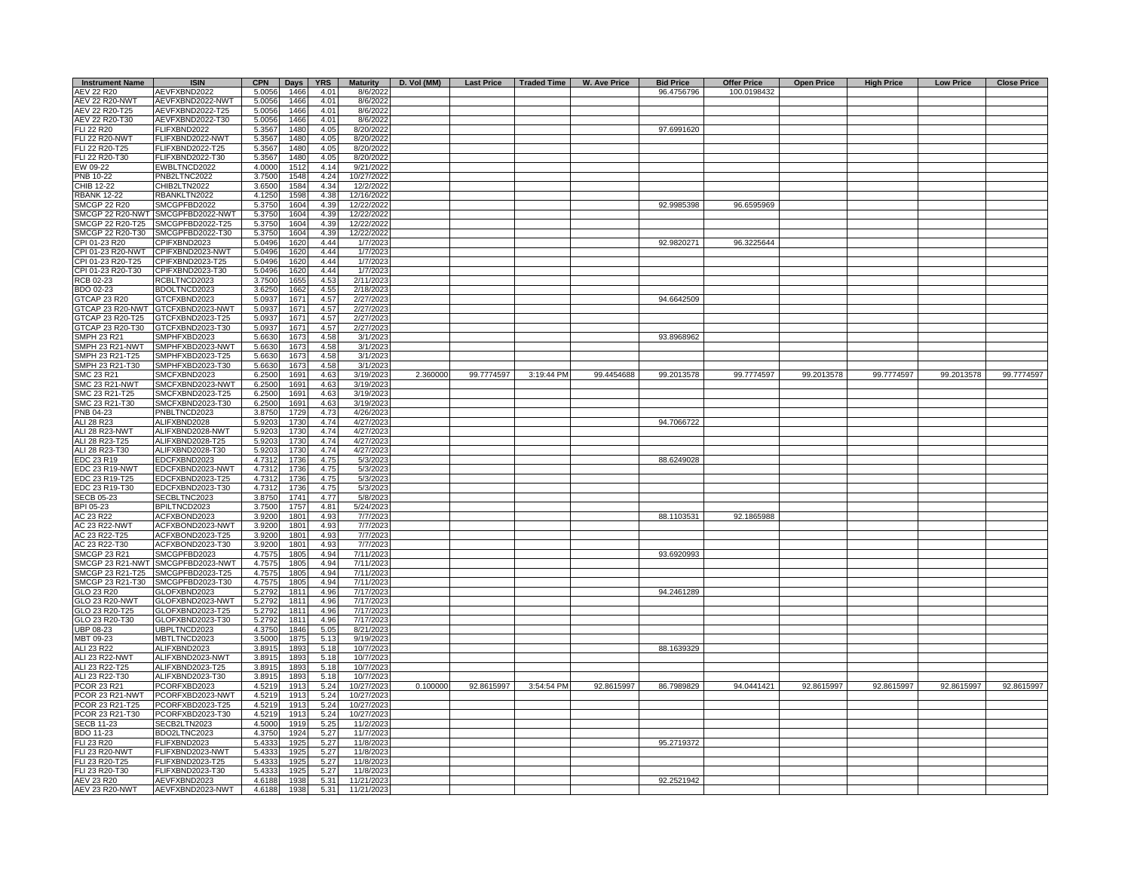| <b>Instrument Name</b>               | <b>ISIN</b>                          | <b>CPN</b>       | <b>Days</b>  | <b>YRS</b>   | <b>Maturity</b>        | D. Vol (MM) | <b>Last Price</b> | Traded Time | W. Ave Price | <b>Bid Price</b> | <b>Offer Price</b> | <b>Open Price</b> | <b>High Price</b> | <b>Low Price</b> | <b>Close Price</b> |
|--------------------------------------|--------------------------------------|------------------|--------------|--------------|------------------------|-------------|-------------------|-------------|--------------|------------------|--------------------|-------------------|-------------------|------------------|--------------------|
| AEV 22 R20                           | AEVFXBND2022                         | 5.0056           | 1466         | 4.01         | 8/6/2022               |             |                   |             |              | 96.4756796       | 100.0198432        |                   |                   |                  |                    |
| <b>AEV 22 R20-NWT</b>                | AEVFXBND2022-NWT                     | 5.0056           | 1466         | 4.01         | 8/6/2022               |             |                   |             |              |                  |                    |                   |                   |                  |                    |
| AEV 22 R20-T25                       | AEVFXBND2022-T25                     | 5.0056           | 1466         | 4.01         | 8/6/2022               |             |                   |             |              |                  |                    |                   |                   |                  |                    |
| AEV 22 R20-T30                       | AEVFXBND2022-T30                     | 5.0056           | 1466         | 4.01         | 8/6/2022               |             |                   |             |              |                  |                    |                   |                   |                  |                    |
| <b>FLI 22 R20</b>                    | FLIFXBND2022                         | 5.3567           | 1480         | 4.05         | 8/20/2022              |             |                   |             |              | 97.6991620       |                    |                   |                   |                  |                    |
| <b>FLI 22 R20-NWT</b>                | FLIFXBND2022-NWT                     | 5.3567           | 1480         | 4.05         | 8/20/2022              |             |                   |             |              |                  |                    |                   |                   |                  |                    |
| FLI 22 R20-T25                       | FLIFXBND2022-T25                     | 5.3567           | 1480         | 4.05         | 8/20/2022              |             |                   |             |              |                  |                    |                   |                   |                  |                    |
| FLI 22 R20-T30                       | FLIFXBND2022-T30                     | 5.3567           | 1480         | 4.05         | 8/20/2022              |             |                   |             |              |                  |                    |                   |                   |                  |                    |
| EW 09-22                             | EWBLTNCD2022                         | 4.0000           | 1512         | 4.14         | 9/21/2022              |             |                   |             |              |                  |                    |                   |                   |                  |                    |
| PNB 10-22                            | PNB2LTNC2022                         | 3.7500           | 1548         | 4.24         | 10/27/2022             |             |                   |             |              |                  |                    |                   |                   |                  |                    |
| CHIB 12-22                           | CHIB2LTN2022                         | 3.6500           | 1584         | 4.34         | 12/2/2022              |             |                   |             |              |                  |                    |                   |                   |                  |                    |
| <b>RBANK 12-22</b>                   | RBANKLTN2022                         | 4.1250           | 1598         | 4.38         | 12/16/2022             |             |                   |             |              |                  |                    |                   |                   |                  |                    |
| <b>SMCGP 22 R20</b>                  | SMCGPFBD2022                         | 5.3750           | 1604         | 4.39         | 12/22/2022             |             |                   |             |              | 92.9985398       | 96.6595969         |                   |                   |                  |                    |
| SMCGP 22 R20-NWT                     | SMCGPFBD2022-NWT                     | 5.3750           | 1604         | 4.39         | 12/22/2022             |             |                   |             |              |                  |                    |                   |                   |                  |                    |
|                                      | SMCGP 22 R20-T25 SMCGPFBD2022-T25    | 5.3750           | 1604         | 4.39         | 12/22/2022             |             |                   |             |              |                  |                    |                   |                   |                  |                    |
|                                      | SMCGP 22 R20-T30 SMCGPFBD2022-T30    | 5.3750           | 1604         | 4.39         | 12/22/2022             |             |                   |             |              |                  |                    |                   |                   |                  |                    |
| CPI 01-23 R20                        | CPIFXBND2023                         | 5.0496           | 1620         | 4.44         | 1/7/2023               |             |                   |             |              | 92.9820271       | 96.3225644         |                   |                   |                  |                    |
| CPI 01-23 R20-NWT                    | CPIFXBND2023-NWT                     | 5.0496           | 1620         | 4.44         | 1/7/2023               |             |                   |             |              |                  |                    |                   |                   |                  |                    |
| CPI 01-23 R20-T25                    | CPIFXBND2023-T25                     | 5.0496           | 1620         | 4.44         | 1/7/2023               |             |                   |             |              |                  |                    |                   |                   |                  |                    |
| CPI 01-23 R20-T30<br>RCB 02-23       | CPIFXBND2023-T30<br>RCBLTNCD2023     | 5.0496           | 1620         | 4.44<br>4.53 | 1/7/2023<br>2/11/2023  |             |                   |             |              |                  |                    |                   |                   |                  |                    |
| BDO 02-23                            | BDOLTNCD2023                         | 3.7500<br>3.6250 | 1655<br>1662 | 4.55         | 2/18/2023              |             |                   |             |              |                  |                    |                   |                   |                  |                    |
| GTCAP 23 R20                         | GTCFXBND2023                         | 5.0937           | 167'         | 4.57         | 2/27/2023              |             |                   |             |              | 94.6642509       |                    |                   |                   |                  |                    |
| GTCAP 23 R20-NWT                     | GTCFXBND2023-NWT                     | 5.0937           | 167'         | 4.57         | 2/27/202               |             |                   |             |              |                  |                    |                   |                   |                  |                    |
| GTCAP 23 R20-T25                     | GTCFXBND2023-T25                     | 5.0937           | 1671         | 4.57         | 2/27/2023              |             |                   |             |              |                  |                    |                   |                   |                  |                    |
| GTCAP 23 R20-T30                     | GTCFXBND2023-T30                     | 5.0937           | 1671         | 4.57         | 2/27/2023              |             |                   |             |              |                  |                    |                   |                   |                  |                    |
| SMPH 23 R21                          | SMPHFXBD2023                         | 5.6630           | 1673         | 4.58         | 3/1/2023               |             |                   |             |              | 93.8968962       |                    |                   |                   |                  |                    |
| SMPH 23 R21-NWT                      | SMPHFXBD2023-NWT                     | 5.6630           | 1673         | 4.58         | 3/1/2023               |             |                   |             |              |                  |                    |                   |                   |                  |                    |
| SMPH 23 R21-T25                      | SMPHFXBD2023-T25                     | 5.6630           | 1673         | 4.58         | 3/1/2023               |             |                   |             |              |                  |                    |                   |                   |                  |                    |
| SMPH 23 R21-T30                      | SMPHFXBD2023-T30                     | 5.6630           | 1673         | 4.58         | 3/1/2023               |             |                   |             |              |                  |                    |                   |                   |                  |                    |
| SMC 23 R21                           | SMCFXBND2023                         | 6.2500           | 1691         | 4.63         | 3/19/2023              | 2.360000    | 99.7774597        | 3:19:44 PM  | 99.4454688   | 99.2013578       | 99.7774597         | 99.2013578        | 99.7774597        | 99.2013578       | 99.7774597         |
| <b>SMC 23 R21-NWT</b>                | SMCFXBND2023-NWT                     | 6.2500           | 1691         | 4.63         | 3/19/2023              |             |                   |             |              |                  |                    |                   |                   |                  |                    |
| SMC 23 R21-T25                       | SMCFXBND2023-T25                     | 6.2500           | 1691         | 4.63         | 3/19/2023              |             |                   |             |              |                  |                    |                   |                   |                  |                    |
| SMC 23 R21-T30                       | MCFXBND2023-T30                      | 6.2500           | 1691         | 4.63         | 3/19/2023              |             |                   |             |              |                  |                    |                   |                   |                  |                    |
| PNB 04-23                            | PNBLTNCD2023                         | 3.8750           | 1729         | 4.73         | 4/26/2023              |             |                   |             |              |                  |                    |                   |                   |                  |                    |
| ALI 28 R23                           | ALIFXBND2028                         | 5.9203           | 1730         | 4.74         | 4/27/2023              |             |                   |             |              | 94.7066722       |                    |                   |                   |                  |                    |
| ALI 28 R23-NWT                       | ALIFXBND2028-NWT                     | 5.9203           | 1730         | 4.74         | 4/27/2023              |             |                   |             |              |                  |                    |                   |                   |                  |                    |
| ALI 28 R23-T25                       | ALIFXBND2028-T25                     | 5.9203           | 1730         | 4.74         | 4/27/2023              |             |                   |             |              |                  |                    |                   |                   |                  |                    |
| ALI 28 R23-T30                       | ALIFXBND2028-T30                     | 5.9203           | 1730         | 4.74         | 4/27/2023              |             |                   |             |              |                  |                    |                   |                   |                  |                    |
| EDC 23 R19                           | EDCFXBND2023                         | 4.731            | 1736         | 4.75         | 5/3/2023               |             |                   |             |              | 88.6249028       |                    |                   |                   |                  |                    |
| EDC 23 R19-NWT                       | EDCFXBND2023-NWT                     | 4.731            | 1736         | 4.75         | 5/3/2023               |             |                   |             |              |                  |                    |                   |                   |                  |                    |
| EDC 23 R19-T25                       | EDCFXBND2023-T25                     | 4.7312           | 1736         | 4.75         | 5/3/2023               |             |                   |             |              |                  |                    |                   |                   |                  |                    |
| EDC 23 R19-T30                       | EDCFXBND2023-T30                     | 4.7312           | 1736         | 4.75         | 5/3/2023               |             |                   |             |              |                  |                    |                   |                   |                  |                    |
| <b>SECB 05-23</b>                    | SECBLTNC2023                         | 3.8750           | 1741         | 4.77         | 5/8/2023               |             |                   |             |              |                  |                    |                   |                   |                  |                    |
| BPI 05-23                            | BPILTNCD2023                         | 3.7500           | 1757         | 4.81         | 5/24/2023              |             |                   |             |              |                  |                    |                   |                   |                  |                    |
| AC 23 R22                            | ACFXBOND2023                         | 3.9200           | 1801         | 4.93         | 7/7/2023               |             |                   |             |              | 88.1103531       | 92.1865988         |                   |                   |                  |                    |
| <b>AC 23 R22-NWT</b>                 | ACFXBOND2023-NWT                     | 3.9200           | 1801         | 4.93         | 7/7/2023               |             |                   |             |              |                  |                    |                   |                   |                  |                    |
| AC 23 R22-T25                        | ACFXBOND2023-T25                     | 3.9200           | 1801         | 4.93         | 7/7/2023               |             |                   |             |              |                  |                    |                   |                   |                  |                    |
| AC 23 R22-T30                        | ACFXBOND2023-T30                     | 3.9200           | 1801         | 4.93         | 7/7/2023               |             |                   |             |              |                  |                    |                   |                   |                  |                    |
| <b>SMCGP 23 R21</b>                  | SMCGPFBD2023                         | 4.7575           | 1805         | 4.94         | 7/11/2023              |             |                   |             |              | 93.6920993       |                    |                   |                   |                  |                    |
| SMCGP 23 R21-NWT<br>SMCGP 23 R21-T25 | SMCGPFBD2023-NWT<br>SMCGPFBD2023-T25 | 4.7575           | 1805         | 4.94         | 7/11/2023              |             |                   |             |              |                  |                    |                   |                   |                  |                    |
| SMCGP 23 R21-T30                     | SMCGPFBD2023-T30                     | 4.7575<br>4.7575 | 1805<br>1805 | 4.94<br>4.94 | 7/11/2023<br>7/11/2023 |             |                   |             |              |                  |                    |                   |                   |                  |                    |
| GLO 23 R20                           | GLOFXBND2023                         | 5.2792           | 181'         | 4.96         | 7/17/2023              |             |                   |             |              | 94.2461289       |                    |                   |                   |                  |                    |
| GLO 23 R20-NWT                       | GLOFXBND2023-NWT                     | 5.2792           | 1811         | 4.96         | 7/17/2023              |             |                   |             |              |                  |                    |                   |                   |                  |                    |
| GLO 23 R20-T25                       | GLOFXBND2023-T25                     | 5.2792           | 1811         | 4.96         | 7/17/2023              |             |                   |             |              |                  |                    |                   |                   |                  |                    |
| GLO 23 R20-T30                       | GLOFXBND2023-T30                     | 5.2792           | 1811         | 4.96         | 7/17/2023              |             |                   |             |              |                  |                    |                   |                   |                  |                    |
| UBP 08-23                            | UBPLTNCD2023                         | 4.3750           | 1846         | 5.05         | 8/21/2023              |             |                   |             |              |                  |                    |                   |                   |                  |                    |
| MBT 09-23                            | MBTLTNCD2023                         | 3.5000           | 1875         | 5.13         | 9/19/2023              |             |                   |             |              |                  |                    |                   |                   |                  |                    |
| ALI 23 R22                           | ALIFXBND2023                         | 3.8915           | 1893         | 5.18         | 10/7/2023              |             |                   |             |              | 88.1639329       |                    |                   |                   |                  |                    |
| ALI 23 R22-NWT                       | ALIFXBND2023-NWT                     | 3.8915           | 1893         | 5.18         | 10/7/2023              |             |                   |             |              |                  |                    |                   |                   |                  |                    |
| ALI 23 R22-T25                       | ALIFXBND2023-T25                     | 3.8915           | 1893         | 5.18         | 10/7/2023              |             |                   |             |              |                  |                    |                   |                   |                  |                    |
| ALI 23 R22-T30                       | ALIFXBND2023-T30                     | 3.8915           | 1893         | 5.18         | 10/7/2023              |             |                   |             |              |                  |                    |                   |                   |                  |                    |
| <b>PCOR 23 R21</b>                   | PCORFXBD2023                         | 4.5219           | 1913         | 5.24         | 10/27/2023             | 0.100000    | 92.8615997        | 3:54:54 PM  | 92.8615997   | 86.7989829       | 94.0441421         | 92.8615997        | 92.8615997        | 92.8615997       | 92.8615997         |
| PCOR 23 R21-NWT                      | PCORFXBD2023-NWT                     | 4.5219           | 1913         | 5.24         | 10/27/2023             |             |                   |             |              |                  |                    |                   |                   |                  |                    |
| PCOR 23 R21-T25                      | PCORFXBD2023-T25                     | 4.5219           | 1913         | 5.24         | 10/27/2023             |             |                   |             |              |                  |                    |                   |                   |                  |                    |
| PCOR 23 R21-T30                      | PCORFXBD2023-T30                     | 4.5219           | 1913         | 5.24         | 10/27/2023             |             |                   |             |              |                  |                    |                   |                   |                  |                    |
| <b>SECB 11-23</b>                    | SECB2LTN2023                         | 4.5000           | 1919         | 5.25         | 11/2/2023              |             |                   |             |              |                  |                    |                   |                   |                  |                    |
| BDO 11-23                            | BDO2LTNC2023                         | 4.3750           | 1924         | 5.27         | 11/7/2023              |             |                   |             |              |                  |                    |                   |                   |                  |                    |
| FLI 23 R20                           | FLIFXBND2023                         | 5.4333           | 1925         | 5.27         | 11/8/2023              |             |                   |             |              | 95.2719372       |                    |                   |                   |                  |                    |
| <b>FLI 23 R20-NWT</b>                | FLIFXBND2023-NWT                     | 5.4333           | 192          | 5.27         | 11/8/2023              |             |                   |             |              |                  |                    |                   |                   |                  |                    |
| FLI 23 R20-T25                       | FLIFXBND2023-T25                     | 5.4333           | 192          | 5.27         | 11/8/2023              |             |                   |             |              |                  |                    |                   |                   |                  |                    |
| FLI 23 R20-T30                       | FLIFXBND2023-T30                     | 5.4333           | 1925         | 5.27         | 11/8/2023              |             |                   |             |              |                  |                    |                   |                   |                  |                    |
| <b>AEV 23 R20</b>                    | AEVFXBND2023                         | 4.6188           | 1938         | 5.31         | 11/21/2023             |             |                   |             |              | 92.2521942       |                    |                   |                   |                  |                    |
| AEV 23 R20-NWT                       | AEVFXBND2023-NWT                     | 4.6188           | 1938         | 5.31         | 11/21/2023             |             |                   |             |              |                  |                    |                   |                   |                  |                    |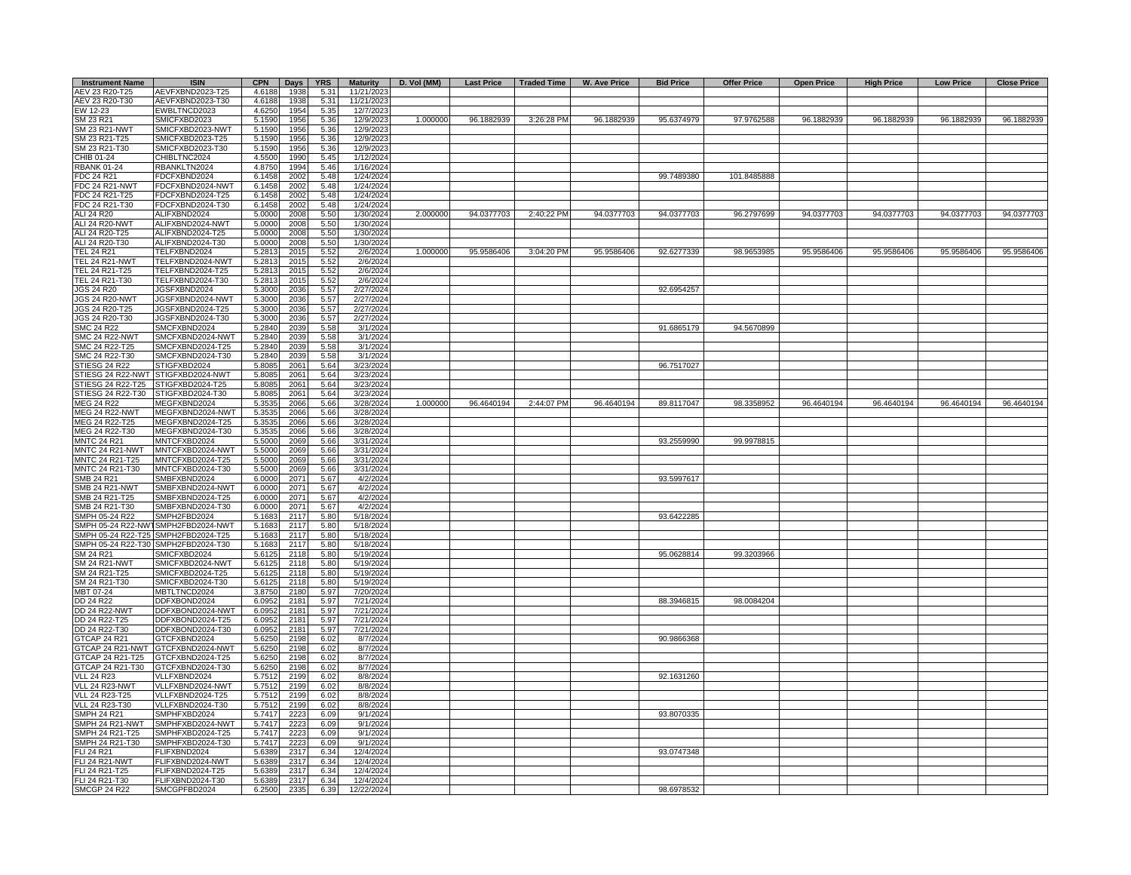| <b>Instrument Name</b>                   | <b>ISIN</b>                          | <b>CPN</b>       | <b>Days</b>  | <b>YRS</b>   | <b>Maturity</b>        | D. Vol (MM) | <b>Last Price</b> | Traded Time | <b>W. Ave Price</b> | <b>Bid Price</b> | <b>Offer Price</b> | <b>Open Price</b> | <b>High Price</b> | <b>Low Price</b> | <b>Close Price</b> |
|------------------------------------------|--------------------------------------|------------------|--------------|--------------|------------------------|-------------|-------------------|-------------|---------------------|------------------|--------------------|-------------------|-------------------|------------------|--------------------|
| AEV 23 R20-T25                           | AEVFXBND2023-T25                     | 4.6188           | 1938         | 5.31         | 11/21/2023             |             |                   |             |                     |                  |                    |                   |                   |                  |                    |
| AEV 23 R20-T30                           | AEVFXBND2023-T30                     | 4.6188           | 1938         | 5.31         | 11/21/2023             |             |                   |             |                     |                  |                    |                   |                   |                  |                    |
| EW 12-23<br>SM 23 R21                    | EWBLTNCD2023<br><b>SMICFXBD2023</b>  | 4.6250<br>5.1590 | 1954<br>1956 | 5.35<br>5.36 | 12/7/2023<br>12/9/2023 | 1.000000    | 96.1882939        | 3:26:28 PM  | 96.1882939          | 95.6374979       | 97.9762588         | 96.1882939        | 96.1882939        | 96.1882939       | 96.1882939         |
| SM 23 R21-NWT                            | SMICFXBD2023-NWT                     | 5.1590           | 1956         | 5.36         | 12/9/2023              |             |                   |             |                     |                  |                    |                   |                   |                  |                    |
| SM 23 R21-T25                            | MICFXBD2023-T25                      | 5.1590           | 1956         | 5.36         | 12/9/2023              |             |                   |             |                     |                  |                    |                   |                   |                  |                    |
| SM 23 R21-T30                            | SMICFXBD2023-T30                     | 5.1590           | 1956         | 5.36         | 12/9/2023              |             |                   |             |                     |                  |                    |                   |                   |                  |                    |
| CHIB 01-24                               | CHIBLTNC2024                         | 4.5500           | 1990         | 5.45         | 1/12/2024              |             |                   |             |                     |                  |                    |                   |                   |                  |                    |
| <b>RBANK 01-24</b>                       | RBANKLTN2024                         | 4.8750           | 1994         | 5.46         | 1/16/2024              |             |                   |             |                     |                  |                    |                   |                   |                  |                    |
| FDC 24 R21                               | FDCFXBND2024                         | 6.1458           | 2002         | 5.48         | 1/24/2024              |             |                   |             |                     | 99.7489380       | 101.8485888        |                   |                   |                  |                    |
| <b>FDC 24 R21-NWT</b>                    | FDCFXBND2024-NWT                     | 6.1458           | 2002         | 5.48         | 1/24/2024              |             |                   |             |                     |                  |                    |                   |                   |                  |                    |
| FDC 24 R21-T25<br>FDC 24 R21-T30         | FDCFXBND2024-T25<br>FDCFXBND2024-T30 | 6.1458<br>6.1458 | 2002<br>2002 | 5.48<br>5.48 | 1/24/2024<br>1/24/2024 |             |                   |             |                     |                  |                    |                   |                   |                  |                    |
| ALI 24 R20                               | ALIFXBND2024                         | 5.0000           | 2008         | 5.50         | 1/30/2024              | 2.000000    | 94.0377703        | 2:40:22 PM  | 94.0377703          | 94.0377703       | 96.2797699         | 94.0377703        | 94.0377703        | 94.0377703       | 94.0377703         |
| ALI 24 R20-NWT                           | ALIFXBND2024-NWT                     | 5.0000           | 2008         | 5.50         | 1/30/2024              |             |                   |             |                     |                  |                    |                   |                   |                  |                    |
| ALI 24 R20-T25                           | ALIFXBND2024-T25                     | 5.0000           | 2008         | 5.50         | 1/30/2024              |             |                   |             |                     |                  |                    |                   |                   |                  |                    |
| ALI 24 R20-T30                           | ALIFXBND2024-T30                     | 5.0000           | 2008         | 5.50         | 1/30/2024              |             |                   |             |                     |                  |                    |                   |                   |                  |                    |
| <b>TEL 24 R21</b>                        | TELFXBND2024                         | 5.2813           | 2015         | 5.52         | 2/6/2024               | 1.000000    | 95.9586406        | 3:04:20 PM  | 95.9586406          | 92.6277339       | 98.9653985         | 95.9586406        | 95.9586406        | 95.9586406       | 95.9586406         |
| <b>TEL 24 R21-NWT</b>                    | TELFXBND2024-NWT                     | 5.2813           | 2015         | 5.52         | 2/6/2024               |             |                   |             |                     |                  |                    |                   |                   |                  |                    |
| TEL 24 R21-T25                           | TELFXBND2024-T25                     | 5.2813           | 2015         | 5.52         | 2/6/2024               |             |                   |             |                     |                  |                    |                   |                   |                  |                    |
| TEL 24 R21-T30<br><b>JGS 24 R20</b>      | TELFXBND2024-T30<br>JGSFXBND2024     | 5.2813<br>5.3000 | 2015<br>2036 | 5.52<br>5.57 | 2/6/2024<br>2/27/2024  |             |                   |             |                     | 92.6954257       |                    |                   |                   |                  |                    |
| <b>JGS 24 R20-NWT</b>                    | JGSFXBND2024-NWT                     | 5.3000           | 2036         | 5.57         | 2/27/2024              |             |                   |             |                     |                  |                    |                   |                   |                  |                    |
| JGS 24 R20-T25                           | JGSFXBND2024-T25                     | 5.3000           | 2036         | 5.57         | 2/27/2024              |             |                   |             |                     |                  |                    |                   |                   |                  |                    |
| JGS 24 R20-T30                           | JGSFXBND2024-T30                     | 5.3000           | 2036         | 5.57         | 2/27/2024              |             |                   |             |                     |                  |                    |                   |                   |                  |                    |
| <b>SMC 24 R22</b>                        | SMCFXBND2024                         | 5.2840           | 2039         | 5.58         | 3/1/2024               |             |                   |             |                     | 91.6865179       | 94.5670899         |                   |                   |                  |                    |
| <b>SMC 24 R22-NWT</b>                    | SMCFXBND2024-NWT                     | 5.2840           | 2039         | 5.58         | 3/1/2024               |             |                   |             |                     |                  |                    |                   |                   |                  |                    |
| SMC 24 R22-T25                           | SMCFXBND2024-T25                     | 5.2840           | 2039         | 5.58         | 3/1/2024               |             |                   |             |                     |                  |                    |                   |                   |                  |                    |
| SMC 24 R22-T30                           | SMCFXBND2024-T30                     | 5.2840           | 2039         | 5.58         | 3/1/2024               |             |                   |             |                     |                  |                    |                   |                   |                  |                    |
| STIESG 24 R22                            | STIGFXBD2024<br>STIGFXBD2024-NWT     | 5.8085           | 2061         | 5.64         | 3/23/2024              |             |                   |             |                     | 96.7517027       |                    |                   |                   |                  |                    |
| STIESG 24 R22-NWT<br>STIESG 24 R22-T25   | STIGFXBD2024-T25                     | 5.8085<br>5.8085 | 2061<br>2061 | 5.64<br>5.64 | 3/23/2024<br>3/23/2024 |             |                   |             |                     |                  |                    |                   |                   |                  |                    |
| STIESG 24 R22-T30                        | STIGFXBD2024-T30                     | 5.8085           | 2061         | 5.64         | 3/23/2024              |             |                   |             |                     |                  |                    |                   |                   |                  |                    |
| MEG 24 R22                               | MEGFXBND2024                         | 5.3535           | 2066         | 5.66         | 3/28/2024              | 1.000000    | 96.4640194        | 2:44:07 PM  | 96.4640194          | 89.8117047       | 98.3358952         | 96.4640194        | 96.4640194        | 96.4640194       | 96.4640194         |
| MEG 24 R22-NWT                           | MEGFXBND2024-NWT                     | 5.3535           | 2066         | 5.66         | 3/28/2024              |             |                   |             |                     |                  |                    |                   |                   |                  |                    |
| MEG 24 R22-T25                           | MEGFXBND2024-T25                     | 5.3535           | 2066         | 5.66         | 3/28/2024              |             |                   |             |                     |                  |                    |                   |                   |                  |                    |
| MEG 24 R22-T30                           | MEGFXBND2024-T30                     | 5.3535           | 2066         | 5.66         | 3/28/2024              |             |                   |             |                     |                  |                    |                   |                   |                  |                    |
| <b>MNTC 24 R21</b>                       | MNTCFXBD2024                         | 5.5000           | 2069         | 5.66         | 3/31/2024              |             |                   |             |                     | 93.2559990       | 99.9978815         |                   |                   |                  |                    |
| MNTC 24 R21-NWT<br>MNTC 24 R21-T25       | MNTCFXBD2024-NWT<br>MNTCFXBD2024-T25 | 5.500<br>5.5000  | 2069<br>2069 | 5.66<br>5.66 | 3/31/2024<br>3/31/2024 |             |                   |             |                     |                  |                    |                   |                   |                  |                    |
| MNTC 24 R21-T30                          | MNTCFXBD2024-T30                     | 5.5000           | 2069         | 5.66         | 3/31/2024              |             |                   |             |                     |                  |                    |                   |                   |                  |                    |
| SMB 24 R21                               | SMBFXBND2024                         | 6.0000           | 2071         | 5.67         | 4/2/2024               |             |                   |             |                     | 93.5997617       |                    |                   |                   |                  |                    |
| SMB 24 R21-NWT                           | SMBFXBND2024-NWT                     | 6.0000           | 2071         | 5.67         | 4/2/2024               |             |                   |             |                     |                  |                    |                   |                   |                  |                    |
| SMB 24 R21-T25                           | SMBFXBND2024-T25                     | 6.0000           | 2071         | 5.67         | 4/2/2024               |             |                   |             |                     |                  |                    |                   |                   |                  |                    |
| SMB 24 R21-T30                           | MBFXBND2024-T30                      | 6.000            | 2071         | 5.67         | 4/2/2024               |             |                   |             |                     |                  |                    |                   |                   |                  |                    |
| SMPH 05-24 R22                           | MPH2FBD2024                          | 5.1683           | 2117         | 5.80         | 5/18/2024              |             |                   |             |                     | 93.6422285       |                    |                   |                   |                  |                    |
| SMPH 05-24 R22-NW                        | MPH2FBD2024-NWT                      | 5.1683           | 2117         | 5.80         | 5/18/2024              |             |                   |             |                     |                  |                    |                   |                   |                  |                    |
| SMPH 05-24 R22-T25<br>SMPH 05-24 R22-T30 | SMPH2FBD2024-T25<br>SMPH2FBD2024-T30 | 5.1683<br>5.1683 | 2117<br>2117 | 5.80<br>5.80 | 5/18/2024<br>5/18/2024 |             |                   |             |                     |                  |                    |                   |                   |                  |                    |
| SM 24 R21                                | SMICFXBD2024                         | 5.6125           | 2118         | 5.80         | 5/19/2024              |             |                   |             |                     | 95.0628814       | 99.3203966         |                   |                   |                  |                    |
| SM 24 R21-NWT                            | SMICFXBD2024-NWT                     | 5.612            | 2118         | 5.80         | 5/19/2024              |             |                   |             |                     |                  |                    |                   |                   |                  |                    |
| SM 24 R21-T25                            | SMICFXBD2024-T25                     | 5.6125           | 2118         | 5.80         | 5/19/2024              |             |                   |             |                     |                  |                    |                   |                   |                  |                    |
| SM 24 R21-T30                            | SMICFXBD2024-T30                     | 5.6125           | 2118         | 5.80         | 5/19/2024              |             |                   |             |                     |                  |                    |                   |                   |                  |                    |
| MBT 07-24                                | MBTLTNCD2024                         | 3.8750           | 2180         | 5.97         | 7/20/2024              |             |                   |             |                     |                  |                    |                   |                   |                  |                    |
| DD 24 R22                                | DDFXBOND2024                         | 6.0952           | 2181         | 5.97         | 7/21/2024              |             |                   |             |                     | 88.3946815       | 98.0084204         |                   |                   |                  |                    |
| DD 24 R22-NWT                            | DDFXBOND2024-NWT                     | 6.0952           | 2181         | 5.97         | 7/21/2024              |             |                   |             |                     |                  |                    |                   |                   |                  |                    |
| DD 24 R22-T25<br>DD 24 R22-T30           | DDFXBOND2024-T25<br>DDFXBOND2024-T30 | 6.0952<br>6.0952 | 2181<br>2181 | 5.97<br>5.97 | 7/21/2024<br>7/21/2024 |             |                   |             |                     |                  |                    |                   |                   |                  |                    |
| GTCAP 24 R21                             | GTCFXBND2024                         | 5.6250           | 2198         | 6.02         | 8/7/2024               |             |                   |             |                     | 90.9866368       |                    |                   |                   |                  |                    |
| 3TCAP 24 R21-NWT                         | GTCFXBND2024-NWT                     | 5.6250           | 2198         | 6.02         | 8/7/2024               |             |                   |             |                     |                  |                    |                   |                   |                  |                    |
| GTCAP 24 R21-T25                         | GTCFXBND2024-T25                     | 5.6250           | 2198         | 6.02         | 8/7/2024               |             |                   |             |                     |                  |                    |                   |                   |                  |                    |
| 3TCAP 24 R21-T30                         | GTCFXBND2024-T30                     | 5.6250           | 2198         | 6.02         | 8/7/2024               |             |                   |             |                     |                  |                    |                   |                   |                  |                    |
| VLL 24 R23                               | VLLFXBND2024                         | 5.7512           | 2199         | 6.02         | 8/8/2024               |             |                   |             |                     | 92.1631260       |                    |                   |                   |                  |                    |
| VLL 24 R23-NWT                           | VLLFXBND2024-NWT                     | 5.7512           | 2199         | 6.02         | 8/8/2024               |             |                   |             |                     |                  |                    |                   |                   |                  |                    |
| <b>VLL 24 R23-T25</b>                    | VLLFXBND2024-T25                     | 5.7512           | 2199         | 6.02         | 8/8/2024               |             |                   |             |                     |                  |                    |                   |                   |                  |                    |
| VLL 24 R23-T30<br>SMPH 24 R21            | VLLFXBND2024-T30<br>SMPHFXBD2024     | 5.7512<br>5.7417 | 2199<br>222  | 6.02<br>6.09 | 8/8/2024               |             |                   |             |                     | 93.8070335       |                    |                   |                   |                  |                    |
| SMPH 24 R21-NWT                          | SMPHFXBD2024-NWT                     | 5.7417           | 2223         | 6.09         | 9/1/2024<br>9/1/2024   |             |                   |             |                     |                  |                    |                   |                   |                  |                    |
| SMPH 24 R21-T25                          | SMPHFXBD2024-T25                     | 5.7417           | 2223         | 6.09         | 9/1/2024               |             |                   |             |                     |                  |                    |                   |                   |                  |                    |
| SMPH 24 R21-T30                          | SMPHFXBD2024-T30                     | 5.7417           | 2223         | 6.09         | 9/1/2024               |             |                   |             |                     |                  |                    |                   |                   |                  |                    |
| <b>LI 24 R21</b>                         | FLIFXBND2024                         | 5.6389           | 2317         | 6.34         | 12/4/2024              |             |                   |             |                     | 93.0747348       |                    |                   |                   |                  |                    |
| ELI 24 R21-NWT                           | FLIFXBND2024-NWT                     | 5.6389           | 2317         | 6.34         | 12/4/2024              |             |                   |             |                     |                  |                    |                   |                   |                  |                    |
| FLI 24 R21-T25                           | FLIFXBND2024-T25                     | 5.6389           | 2317         | 6.34         | 12/4/2024              |             |                   |             |                     |                  |                    |                   |                   |                  |                    |
| FLI 24 R21-T30                           | FLIFXBND2024-T30                     | 5.6389           | 2317         | 6.34         | 12/4/2024              |             |                   |             |                     |                  |                    |                   |                   |                  |                    |
| <b>SMCGP 24 R22</b>                      | SMCGPFBD2024                         | 6.2500           | 2335         | 6.39         | 12/22/2024             |             |                   |             |                     | 98.6978532       |                    |                   |                   |                  |                    |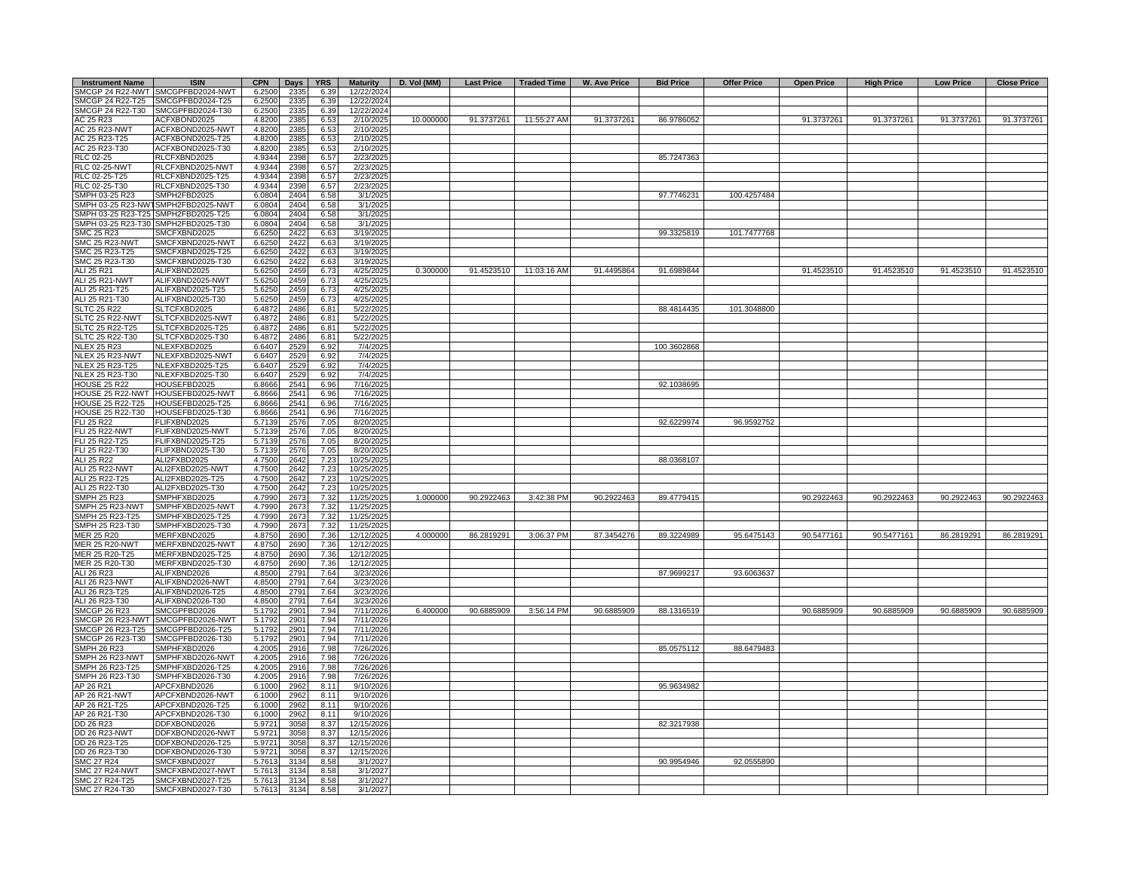| <b>Instrument Name</b>           | <b>ISIN</b>                                       | <b>CPN</b>       | Days         | <b>YRS</b>   | <b>Maturity</b>          | D. Vol (MM) | <b>Last Price</b> | Traded Time | W. Ave Price | <b>Bid Price</b> | <b>Offer Price</b> | <b>Open Price</b> | <b>High Price</b> | <b>Low Price</b> | <b>Close Price</b> |
|----------------------------------|---------------------------------------------------|------------------|--------------|--------------|--------------------------|-------------|-------------------|-------------|--------------|------------------|--------------------|-------------------|-------------------|------------------|--------------------|
|                                  | SMCGP 24 R22-NWT SMCGPFBD2024-NWT                 | 6.2500           | 2335         | 6.39         | 12/22/2024               |             |                   |             |              |                  |                    |                   |                   |                  |                    |
| SMCGP 24 R22-T25                 | MCGPFBD2024-T25                                   | 6.2500           | 2335         | 6.39         | 12/22/2024               |             |                   |             |              |                  |                    |                   |                   |                  |                    |
| SMCGP 24 R22-T30                 | SMCGPFBD2024-T30                                  | 6.2500           | 2335         | 6.39         | 12/22/2024               |             |                   |             |              |                  |                    |                   |                   |                  |                    |
| AC 25 R23                        | ACFXBOND2025                                      | 4.8200           | 2385         | 6.53         | 2/10/2025                | 10.000000   | 91.3737261        | 11:55:27 AM | 91.3737261   | 86.9786052       |                    | 91.3737261        | 91.3737261        | 91.3737261       | 91.3737261         |
| <b>AC 25 R23-NWT</b>             | ACFXBOND2025-NWT                                  | 4.8200           | 2385         | 6.53         | 2/10/2025                |             |                   |             |              |                  |                    |                   |                   |                  |                    |
| AC 25 R23-T25<br>AC 25 R23-T30   | ACFXBOND2025-T25<br>ACFXBOND2025-T30              | 4.8200<br>4.8200 | 2385<br>2385 | 6.53<br>6.53 | 2/10/2025<br>2/10/2025   |             |                   |             |              |                  |                    |                   |                   |                  |                    |
| RLC 02-25                        | RLCFXBND2025                                      | 4.9344           | 2398         | 6.57         | 2/23/2025                |             |                   |             |              | 85.7247363       |                    |                   |                   |                  |                    |
| <b>RLC 02-25-NWT</b>             | RLCFXBND2025-NWT                                  | 4.9344           | 2398         | 6.57         | 2/23/2025                |             |                   |             |              |                  |                    |                   |                   |                  |                    |
| RLC 02-25-T25                    | RLCFXBND2025-T25                                  | 4.9344           | 2398         | 6.57         | 2/23/2025                |             |                   |             |              |                  |                    |                   |                   |                  |                    |
| RLC 02-25-T30                    | RLCFXBND2025-T30                                  | 4.9344           | 2398         | 6.57         | 2/23/2025                |             |                   |             |              |                  |                    |                   |                   |                  |                    |
| SMPH 03-25 R23                   | SMPH2FBD2025                                      | 6.0804           | 2404         | 6.58         | 3/1/2025                 |             |                   |             |              | 97.7746231       | 100.4257484        |                   |                   |                  |                    |
|                                  | SMPH 03-25 R23-NWT SMPH2FBD2025-NWT               | 6.0804           | 2404         | 6.58         | 3/1/2025                 |             |                   |             |              |                  |                    |                   |                   |                  |                    |
|                                  | SMPH 03-25 R23-T25 SMPH2FBD2025-T25               | 6.0804           | 2404         | 6.58         | 3/1/2025                 |             |                   |             |              |                  |                    |                   |                   |                  |                    |
|                                  | SMPH 03-25 R23-T30 SMPH2FBD2025-T30               | 6.0804           | 2404         | 6.58         | 3/1/2025                 |             |                   |             |              |                  |                    |                   |                   |                  |                    |
| SMC 25 R23                       | SMCFXBND2025                                      | 6.6250           | 2422         | 6.63         | 3/19/2025                |             |                   |             |              | 99.3325819       | 101.7477768        |                   |                   |                  |                    |
| SMC 25 R23-NWT                   | SMCFXBND2025-NWT                                  | 6.6250           | 2422         | 6.63         | 3/19/2025                |             |                   |             |              |                  |                    |                   |                   |                  |                    |
| SMC 25 R23-T25<br>SMC 25 R23-T30 | SMCFXBND2025-T25<br>SMCFXBND2025-T30              | 6.6250<br>6.6250 | 2422<br>2422 | 6.63<br>6.63 | 3/19/2025<br>3/19/2025   |             |                   |             |              |                  |                    |                   |                   |                  |                    |
| ALI 25 R21                       | ALIFXBND2025                                      | 5.6250           | 2459         | 6.73         | 4/25/2025                | 0.300000    | 91.4523510        | 11:03:16 AM | 91.4495864   | 91.6989844       |                    | 91.4523510        | 91.4523510        | 91.4523510       | 91.4523510         |
| <b>ALI 25 R21-NWT</b>            | ALIFXBND2025-NWT                                  | 5.6250           | 2459         | 6.73         | 4/25/2025                |             |                   |             |              |                  |                    |                   |                   |                  |                    |
| ALI 25 R21-T25                   | ALIFXBND2025-T25                                  | 5.6250           | 2459         | 6.73         | 4/25/2025                |             |                   |             |              |                  |                    |                   |                   |                  |                    |
| ALI 25 R21-T30                   | ALIFXBND2025-T30                                  | 5.6250           | 2459         | 6.73         | 4/25/2025                |             |                   |             |              |                  |                    |                   |                   |                  |                    |
| <b>SLTC 25 R22</b>               | SLTCFXBD2025                                      | 6.4872           | 2486         | 6.81         | 5/22/2025                |             |                   |             |              | 88.4814435       | 101.3048800        |                   |                   |                  |                    |
| SLTC 25 R22-NWT                  | SLTCFXBD2025-NWT                                  | 6.4872           | 2486         | 6.81         | 5/22/2025                |             |                   |             |              |                  |                    |                   |                   |                  |                    |
| SLTC 25 R22-T25                  | SLTCFXBD2025-T25                                  | 6.4872           | 2486         | 6.81         | 5/22/2025                |             |                   |             |              |                  |                    |                   |                   |                  |                    |
| SLTC 25 R22-T30                  | SLTCFXBD2025-T30                                  | 6.4872           | 2486         | 6.81         | 5/22/2025                |             |                   |             |              |                  |                    |                   |                   |                  |                    |
| <b>NLEX 25 R23</b>               | NLEXFXBD2025                                      | 6.6407           | 2529         | 6.92         | 7/4/2025                 |             |                   |             |              | 100.3602868      |                    |                   |                   |                  |                    |
| NLEX 25 R23-NWT                  | NLEXFXBD2025-NWT                                  | 6.6407           | 2529         | 6.92         | 7/4/2025                 |             |                   |             |              |                  |                    |                   |                   |                  |                    |
| NLEX 25 R23-T25                  | NLEXFXBD2025-T25                                  | 6.6407           | 2529         | 6.92         | 7/4/2025                 |             |                   |             |              |                  |                    |                   |                   |                  |                    |
| NLEX 25 R23-T30                  | NLEXFXBD2025-T30                                  | 6.6407           | 2529         | 6.92         | $\frac{7}{42025}$        |             |                   |             |              |                  |                    |                   |                   |                  |                    |
| <b>HOUSE 25 R22</b>              | HOUSEFBD2025<br>HOUSE 25 R22-NWT HOUSEFBD2025-NWT | 6.8666<br>6.8666 | 2541<br>2541 | 6.96<br>6.96 | 7/16/2025<br>7/16/2025   |             |                   |             |              | 92.1038695       |                    |                   |                   |                  |                    |
| <b>HOUSE 25 R22-T25</b>          | HOUSEFBD2025-T25                                  | 6.8666           | 2541         | 6.96         | 7/16/2025                |             |                   |             |              |                  |                    |                   |                   |                  |                    |
| HOUSE 25 R22-T30                 | HOUSEFBD2025-T30                                  | 6.8666           | 2541         | 6.96         | 7/16/2025                |             |                   |             |              |                  |                    |                   |                   |                  |                    |
| FLI 25 R22                       | FLIFXBND2025                                      | 5.7139           | 2576         | 7.05         | 8/20/2025                |             |                   |             |              | 92.6229974       | 96.9592752         |                   |                   |                  |                    |
| ELI 25 R22-NWT                   | FLIFXBND2025-NWT                                  | 5.7139           | 2576         | 7.05         | 8/20/2025                |             |                   |             |              |                  |                    |                   |                   |                  |                    |
| <b>LI 25 R22-T25</b>             | FLIFXBND2025-T25                                  | 5.7139           | 2576         | 7.05         | 8/20/2025                |             |                   |             |              |                  |                    |                   |                   |                  |                    |
| <b>LI 25 R22-T30</b>             | FLIFXBND2025-T30                                  | 5.713            | 2576         | 7.05         | 8/20/2025                |             |                   |             |              |                  |                    |                   |                   |                  |                    |
| ALI 25 R22                       | ALI2FXBD2025                                      | 4.750            | 2642         | 7.23         | 10/25/2025               |             |                   |             |              | 88.0368107       |                    |                   |                   |                  |                    |
| ALI 25 R22-NWT                   | ALI2FXBD2025-NWT                                  | 4.7500           | 2642         | 7.23         | 10/25/2025               |             |                   |             |              |                  |                    |                   |                   |                  |                    |
| ALI 25 R22-T25                   | ALI2FXBD2025-T25                                  | 4.7500           | 2642         | 7.23         | 10/25/2025               |             |                   |             |              |                  |                    |                   |                   |                  |                    |
| ALI 25 R22-T30                   | ALI2FXBD2025-T30                                  | 4.7500           | 2642         | 7.23         | 10/25/2025               |             |                   |             |              |                  |                    |                   |                   |                  |                    |
| SMPH 25 R23<br>MPH 25 R23-NWT    | SMPHFXBD2025<br>SMPHFXBD2025-NWT                  | 4.7990<br>4.7990 | 2673         | 7.32<br>7.32 | 11/25/2025<br>11/25/2025 | 1.000000    | 90.2922463        | 3:42:38 PM  | 90.2922463   | 89.4779415       |                    | 90.2922463        | 90.2922463        | 90.2922463       | 90.2922463         |
| SMPH 25 R23-T25                  | SMPHFXBD2025-T25                                  | 4.7990           | 267<br>2673  | 7.32         | 11/25/2025               |             |                   |             |              |                  |                    |                   |                   |                  |                    |
| SMPH 25 R23-T30                  | SMPHFXBD2025-T30                                  | 4.7990           | 2673         | 7.32         | 11/25/2025               |             |                   |             |              |                  |                    |                   |                   |                  |                    |
| <b>JER 25 R20</b>                | MERFXBND2025                                      | 4.8750           | 2690         | 7.36         | 12/12/2025               | 4.000000    | 86.2819291        | 3:06:37 PM  | 87.3454276   | 89.3224989       | 95.6475143         | 90.5477161        | 90.5477161        | 86.2819291       | 86.2819291         |
| <b>JER 25 R20-NWT</b>            | MERFXBND2025-NWT                                  | 4.8750           | 2690         | 7.36         | 12/12/2025               |             |                   |             |              |                  |                    |                   |                   |                  |                    |
| <b>JER 25 R20-T25</b>            | MERFXBND2025-T25                                  | 4.8750           | 2690         | 7.36         | 12/12/2025               |             |                   |             |              |                  |                    |                   |                   |                  |                    |
| <b>JER 25 R20-T30</b>            | MERFXBND2025-T30                                  | 4.8750           | 2690         | 7.36         | 12/12/2025               |             |                   |             |              |                  |                    |                   |                   |                  |                    |
| <b>ALI 26 R23</b>                | ALIFXBND2026                                      | 4.8500           | 2791         | 7.64         | 3/23/2026                |             |                   |             |              | 87.9699217       | 93.6063637         |                   |                   |                  |                    |
| ALI 26 R23-NWT                   | ALIFXBND2026-NWT                                  | 4.8500           | 2791         | 7.64         | 3/23/2026                |             |                   |             |              |                  |                    |                   |                   |                  |                    |
| ALI 26 R23-T25                   | ALIFXBND2026-T25                                  | 4.8500           | 2791         | 7.64         | 3/23/2026                |             |                   |             |              |                  |                    |                   |                   |                  |                    |
| ALI 26 R23-T30                   | ALIFXBND2026-T30                                  | 4.8500           | 2791         | 7.64         | 3/23/2026                |             |                   |             |              |                  |                    |                   |                   |                  |                    |
| <b>SMCGP 26 R23</b>              | SMCGPFBD2026<br>SMCGP 26 R23-NWT SMCGPFBD2026-NWT | 5.1792<br>5.1792 | 2901<br>2901 | 7.94<br>7.94 | 7/11/2026<br>7/11/2026   | 6.400000    | 90.6885909        | 3:56:14 PM  | 90.6885909   | 88.1316519       |                    | 90.6885909        | 90.6885909        | 90.6885909       | 90.6885909         |
| SMCGP 26 R23-T25                 | SMCGPFBD2026-T25                                  | 5.1792           | 2901         | 7.94         | 7/11/2026                |             |                   |             |              |                  |                    |                   |                   |                  |                    |
| SMCGP 26 R23-T30                 | SMCGPFBD2026-T30                                  | 5.1792           | 2901         | 7.94         | 7/11/2026                |             |                   |             |              |                  |                    |                   |                   |                  |                    |
| SMPH 26 R23                      | MPHFXBD2026                                       | 4.2005           | 2916         | 7.98         | 7/26/2026                |             |                   |             |              | 85.0575112       | 88.6479483         |                   |                   |                  |                    |
| SMPH 26 R23-NWT                  | MPHFXBD2026-NWT                                   | 4.2005           | 2916         | 7.98         | 7/26/2026                |             |                   |             |              |                  |                    |                   |                   |                  |                    |
| SMPH 26 R23-T25                  | MPHFXBD2026-T25                                   | 4.2005           | 2916         | 7.98         | 7/26/2026                |             |                   |             |              |                  |                    |                   |                   |                  |                    |
| SMPH 26 R23-T30                  | SMPHFXBD2026-T30                                  | 4.2005           | 2916         | 7.98         | 7/26/2026                |             |                   |             |              |                  |                    |                   |                   |                  |                    |
| AP 26 R21                        | APCFXBND2026                                      | 6.1000           | 2962         | 8.11         | 9/10/2026                |             |                   |             |              | 95.9634982       |                    |                   |                   |                  |                    |
| AP 26 R21-NWT                    | APCFXBND2026-NWT                                  | 6.1000           | 296          | 8.11         | 9/10/2026                |             |                   |             |              |                  |                    |                   |                   |                  |                    |
| AP 26 R21-T25                    | APCFXBND2026-T25                                  | 6.1000           | 2962         | 8.11         | 9/10/2026                |             |                   |             |              |                  |                    |                   |                   |                  |                    |
| AP 26 R21-T30                    | APCFXBND2026-T30                                  | 6.1000           | 2962         | 8.11         | 9/10/2026                |             |                   |             |              |                  |                    |                   |                   |                  |                    |
| DD 26 R23                        | DDFXBOND2026                                      | 5.9721           | 3058         | 8.37         | 12/15/2026               |             |                   |             |              | 82.3217938       |                    |                   |                   |                  |                    |
| DD 26 R23-NWT                    | DDFXBOND2026-NWT                                  | 5.9721           | 3058         | 8.37         | 12/15/2026               |             |                   |             |              |                  |                    |                   |                   |                  |                    |
| DD 26 R23-T25<br>DD 26 R23-T30   | DDFXBOND2026-T25<br>DDFXBOND2026-T30              | 5.9721<br>5.9721 | 3058<br>3058 | 8.37<br>8.37 | 12/15/2026<br>12/15/2026 |             |                   |             |              |                  |                    |                   |                   |                  |                    |
| <b>SMC 27 R24</b>                | SMCFXBND2027                                      | 5.7613           | 3134         | 8.58         | 3/1/2027                 |             |                   |             |              | 90.9954946       | 92.0555890         |                   |                   |                  |                    |
| <b>SMC 27 R24-NWT</b>            | SMCFXBND2027-NWT                                  | 5.7613           | 3134         | 8.58         | 3/1/2027                 |             |                   |             |              |                  |                    |                   |                   |                  |                    |
| SMC 27 R24-T25                   | SMCFXBND2027-T25                                  | 5.7613           | 3134         | 8.58         | 3/1/2027                 |             |                   |             |              |                  |                    |                   |                   |                  |                    |
| SMC 27 R24-T30                   | SMCFXBND2027-T30                                  | 5.7613           | 3134         | 8.58         | 3/1/2027                 |             |                   |             |              |                  |                    |                   |                   |                  |                    |